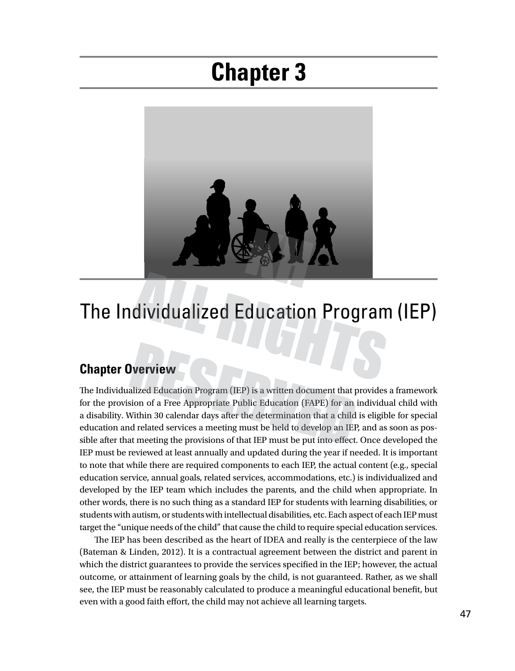# **Chapter 3**



# The Individualized Education Program (IEP)

# **Chapter Overview**

The Individualized Education Program (IEP) is a written document that provides a framework for the provision of a Free Appropriate Public Education (FAPE) for an individual child with a disability. Within 30 calendar days after the determination that a child is eligible for special education and related services a meeting must be held to develop an IEP, and as soon as possible after that meeting the provisions of that IEP must be put into effect. Once developed the IEP must be reviewed at least annually and updated during the year if needed. It is important to note that while there are required components to each IEP, the actual content (e.g., special education service, annual goals, related services, accommodations, etc.) is individualized and developed by the IEP team which includes the parents, and the child when appropriate. In other words, there is no such thing as a standard IEP for students with learning disabilities, or students with autism, or students with intellectual disabilities, etc. Each aspect of each IEP must target the "unique needs of the child" that cause the child to require special education services.

The IEP has been described as the heart of IDEA and really is the centerpiece of the law (Bateman & Linden, 2012). It is a contractual agreement between the district and parent in which the district guarantees to provide the services specified in the IEP; however, the actual outcome, or attainment of learning goals by the child, is not guaranteed. Rather, as we shall see, the IEP must be reasonably calculated to produce a meaningful educational benefit, but even with a good faith effort, the child may not achieve all learning targets.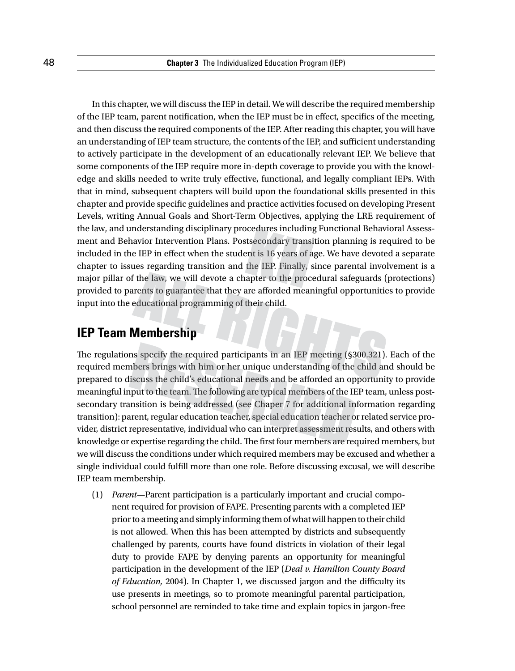In this chapter, we will discuss the IEP in detail. We will describe the required membership of the IEP team, parent notification, when the IEP must be in effect, specifics of the meeting, and then discuss the required components of the IEP. After reading this chapter, you will have an understanding of IEP team structure, the contents of the IEP, and sufficient understanding to actively participate in the development of an educationally relevant IEP. We believe that some components of the IEP require more in-depth coverage to provide you with the knowledge and skills needed to write truly effective, functional, and legally compliant IEPs. With that in mind, subsequent chapters will build upon the foundational skills presented in this chapter and provide specific guidelines and practice activities focused on developing Present Levels, writing Annual Goals and Short-Term Objectives, applying the LRE requirement of the law, and understanding disciplinary procedures including Functional Behavioral Assessment and Behavior Intervention Plans. Postsecondary transition planning is required to be included in the IEP in effect when the student is 16 years of age. We have devoted a separate chapter to issues regarding transition and the IEP. Finally, since parental involvement is a major pillar of the law, we will devote a chapter to the procedural safeguards (protections) provided to parents to guarantee that they are afforded meaningful opportunities to provide input into the educational programming of their child.

# **IEP Team Membership**

The regulations specify the required participants in an IEP meeting (§300.321). Each of the required members brings with him or her unique understanding of the child and should be prepared to discuss the child's educational needs and be afforded an opportunity to provide meaningful input to the team. The following are typical members of the IEP team, unless postsecondary transition is being addressed (see Chaper 7 for additional information regarding transition): parent, regular education teacher, special education teacher or related service provider, district representative, individual who can interpret assessment results, and others with knowledge or expertise regarding the child. The first four members are required members, but we will discuss the conditions under which required members may be excused and whether a single individual could fulfill more than one role. Before discussing excusal, we will describe IEP team membership.

(1) *Parent*—Parent participation is a particularly important and crucial component required for provision of FAPE. Presenting parents with a completed IEP prior to a meeting and simply informing them of what will happen to their child is not allowed. When this has been attempted by districts and subsequently challenged by parents, courts have found districts in violation of their legal duty to provide FAPE by denying parents an opportunity for meaningful participation in the development of the IEP (*Deal v. Hamilton County Board of Education,* 2004). In Chapter 1, we discussed jargon and the difficulty its use presents in meetings, so to promote meaningful parental participation, school personnel are reminded to take time and explain topics in jargon-free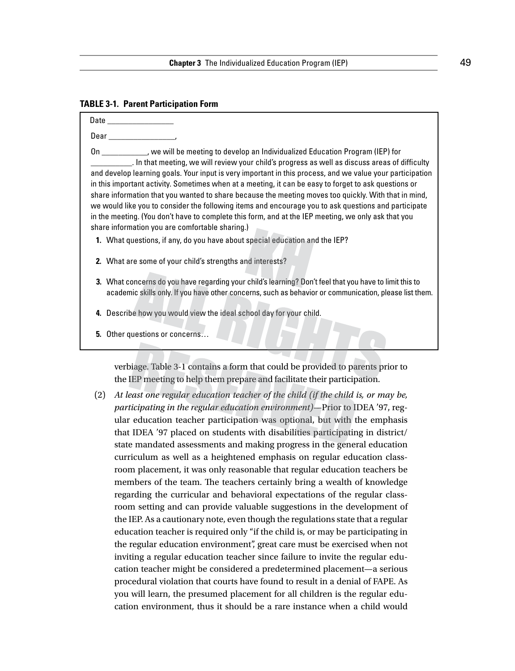#### **Table 3-1. Parent Participation Form**

Date \_\_\_\_\_\_\_\_\_\_\_\_\_\_\_\_

Dear  $\_\_$ 

On **the will be meeting to develop an Individualized Education Program (IEP) for** \_\_\_\_\_\_\_\_\_\_. In that meeting, we will review your child's progress as well as discuss areas of difficulty and develop learning goals. Your input is very important in this process, and we value your participation in this important activity. Sometimes when at a meeting, it can be easy to forget to ask questions or share information that you wanted to share because the meeting moves too quickly. With that in mind, we would like you to consider the following items and encourage you to ask questions and participate in the meeting. (You don't have to complete this form, and at the IEP meeting, we only ask that you share information you are comfortable sharing.)

- **1.** What questions, if any, do you have about special education and the IEP?
- **2.** What are some of your child's strengths and interests?
- **3.** What concerns do you have regarding your child's learning? Don't feel that you have to limit this to academic skills only. If you have other concerns, such as behavior or communication, please list them.
- **4.** Describe how you would view the ideal school day for your child.
- **5.** Other questions or concerns…

verbiage. Table 3-1 contains a form that could be provided to parents prior to the IEP meeting to help them prepare and facilitate their participation.

(2) *At least one regular education teacher of the child (if the child is, or may be, participating in the regular education environment)*—Prior to IDEA '97, regular education teacher participation was optional, but with the emphasis that IDEA '97 placed on students with disabilities participating in district/ state mandated assessments and making progress in the general education curriculum as well as a heightened emphasis on regular education classroom placement, it was only reasonable that regular education teachers be members of the team. The teachers certainly bring a wealth of knowledge regarding the curricular and behavioral expectations of the regular classroom setting and can provide valuable suggestions in the development of the IEP. As a cautionary note, even though the regulations state that a regular education teacher is required only "if the child is, or may be participating in the regular education environment", great care must be exercised when not inviting a regular education teacher since failure to invite the regular education teacher might be considered a predetermined placement—a serious procedural violation that courts have found to result in a denial of FAPE. As you will learn, the presumed placement for all children is the regular education environment, thus it should be a rare instance when a child would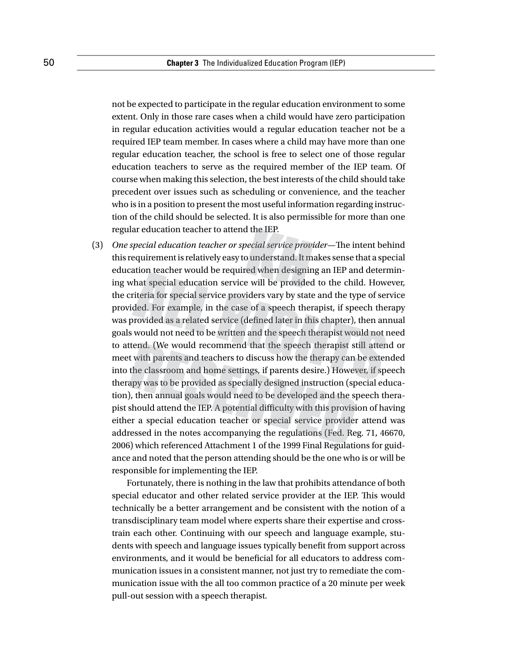not be expected to participate in the regular education environment to some extent. Only in those rare cases when a child would have zero participation in regular education activities would a regular education teacher not be a required IEP team member. In cases where a child may have more than one regular education teacher, the school is free to select one of those regular education teachers to serve as the required member of the IEP team. Of course when making this selection, the best interests of the child should take precedent over issues such as scheduling or convenience, and the teacher who is in a position to present the most useful information regarding instruction of the child should be selected. It is also permissible for more than one regular education teacher to attend the IEP.

(3) *One special education teacher or special service provider*—The intent behind this requirement is relatively easy to understand. It makes sense that a special education teacher would be required when designing an IEP and determining what special education service will be provided to the child. However, the criteria for special service providers vary by state and the type of service provided. For example, in the case of a speech therapist, if speech therapy was provided as a related service (defined later in this chapter), then annual goals would not need to be written and the speech therapist would not need to attend. (We would recommend that the speech therapist still attend or meet with parents and teachers to discuss how the therapy can be extended into the classroom and home settings, if parents desire.) However, if speech therapy was to be provided as specially designed instruction (special education), then annual goals would need to be developed and the speech therapist should attend the IEP. A potential difficulty with this provision of having either a special education teacher or special service provider attend was addressed in the notes accompanying the regulations (Fed. Reg. 71, 46670, 2006) which referenced Attachment 1 of the 1999 Final Regulations for guidance and noted that the person attending should be the one who is or will be responsible for implementing the IEP.

Fortunately, there is nothing in the law that prohibits attendance of both special educator and other related service provider at the IEP. This would technically be a better arrangement and be consistent with the notion of a transdisciplinary team model where experts share their expertise and crosstrain each other. Continuing with our speech and language example, students with speech and language issues typically benefit from support across environments, and it would be beneficial for all educators to address communication issues in a consistent manner, not just try to remediate the communication issue with the all too common practice of a 20 minute per week pull-out session with a speech therapist.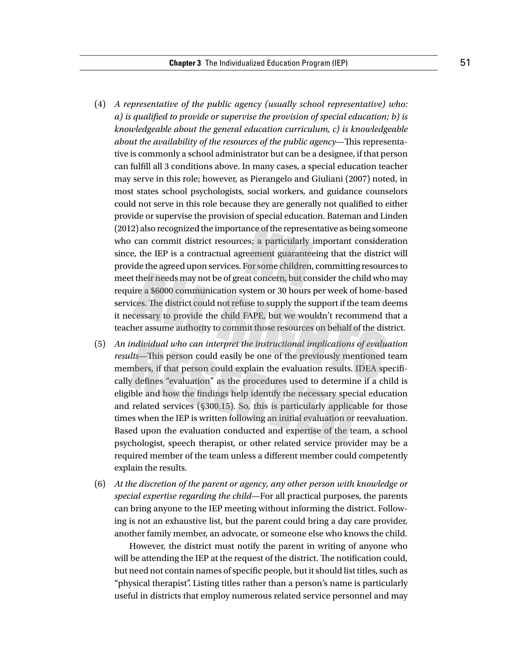- (4) *A representative of the public agency (usually school representative) who: a) is qualified to provide or supervise the provision of special education; b) is knowledgeable about the general education curriculum, c) is knowledgeable about the availability of the resources of the public agency*—This representative is commonly a school administrator but can be a designee, if that person can fulfill all 3 conditions above. In many cases, a special education teacher may serve in this role; however, as Pierangelo and Giuliani (2007) noted, in most states school psychologists, social workers, and guidance counselors could not serve in this role because they are generally not qualified to either provide or supervise the provision of special education. Bateman and Linden (2012) also recognized the importance of the representative as being someone who can commit district resources; a particularly important consideration since, the IEP is a contractual agreement guaranteeing that the district will provide the agreed upon services. For some children, committing resources to meet their needs may not be of great concern, but consider the child who may require a \$6000 communication system or 30 hours per week of home-based services. The district could not refuse to supply the support if the team deems it necessary to provide the child FAPE, but we wouldn't recommend that a teacher assume authority to commit those resources on behalf of the district.
- (5) *An individual who can interpret the instructional implications of evaluation results*—This person could easily be one of the previously mentioned team members, if that person could explain the evaluation results. IDEA specifically defines "evaluation" as the procedures used to determine if a child is eligible and how the findings help identify the necessary special education and related services (§300.15). So, this is particularly applicable for those times when the IEP is written following an initial evaluation or reevaluation. Based upon the evaluation conducted and expertise of the team, a school psychologist, speech therapist, or other related service provider may be a required member of the team unless a different member could competently explain the results.
- (6) *At the discretion of the parent or agency, any other person with knowledge or special expertise regarding the child*—For all practical purposes, the parents can bring anyone to the IEP meeting without informing the district. Following is not an exhaustive list, but the parent could bring a day care provider, another family member, an advocate, or someone else who knows the child.

However, the district must notify the parent in writing of anyone who will be attending the IEP at the request of the district. The notification could, but need not contain names of specific people, but it should list titles, such as "physical therapist". Listing titles rather than a person's name is particularly useful in districts that employ numerous related service personnel and may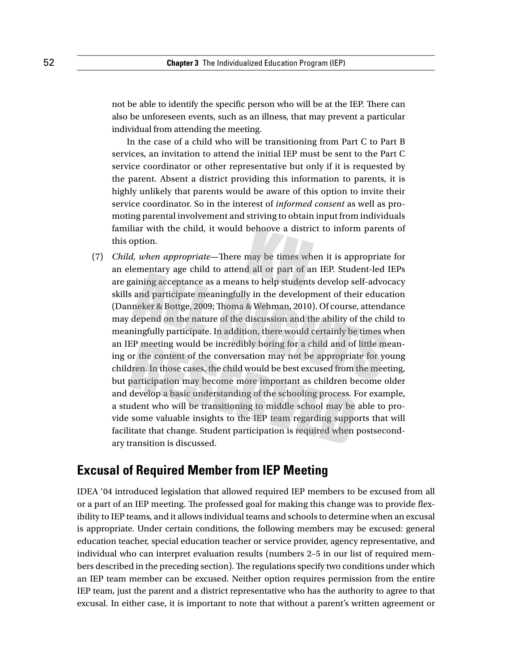not be able to identify the specific person who will be at the IEP. There can also be unforeseen events, such as an illness, that may prevent a particular individual from attending the meeting.

In the case of a child who will be transitioning from Part C to Part B services, an invitation to attend the initial IEP must be sent to the Part C service coordinator or other representative but only if it is requested by the parent. Absent a district providing this information to parents, it is highly unlikely that parents would be aware of this option to invite their service coordinator. So in the interest of *informed consent* as well as promoting parental involvement and striving to obtain input from individuals familiar with the child, it would behoove a district to inform parents of this option.

(7) *Child, when appropriate*—There may be times when it is appropriate for an elementary age child to attend all or part of an IEP. Student-led IEPs are gaining acceptance as a means to help students develop self-advocacy skills and participate meaningfully in the development of their education (Danneker & Bottge, 2009; Thoma & Wehman, 2010). Of course, attendance may depend on the nature of the discussion and the ability of the child to meaningfully participate. In addition, there would certainly be times when an IEP meeting would be incredibly boring for a child and of little meaning or the content of the conversation may not be appropriate for young children. In those cases, the child would be best excused from the meeting, but participation may become more important as children become older and develop a basic understanding of the schooling process. For example, a student who will be transitioning to middle school may be able to provide some valuable insights to the IEP team regarding supports that will facilitate that change. Student participation is required when postsecondary transition is discussed.

## **Excusal of Required Member from IEP Meeting**

IDEA '04 introduced legislation that allowed required IEP members to be excused from all or a part of an IEP meeting. The professed goal for making this change was to provide flexibility to IEP teams, and it allows individual teams and schools to determine when an excusal is appropriate. Under certain conditions, the following members may be excused: general education teacher, special education teacher or service provider, agency representative, and individual who can interpret evaluation results (numbers 2–5 in our list of required members described in the preceding section). The regulations specify two conditions under which an IEP team member can be excused. Neither option requires permission from the entire IEP team, just the parent and a district representative who has the authority to agree to that excusal. In either case, it is important to note that without a parent's written agreement or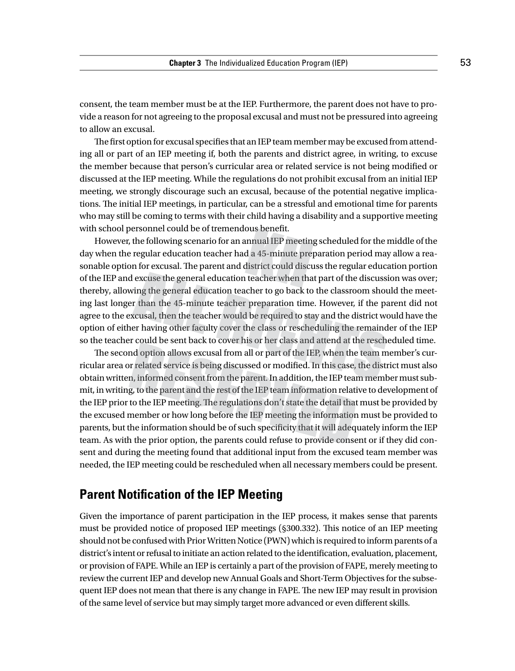consent, the team member must be at the IEP. Furthermore, the parent does not have to provide a reason for not agreeing to the proposal excusal and must not be pressured into agreeing to allow an excusal.

The first option for excusal specifies that an IEP team member may be excused from attending all or part of an IEP meeting if, both the parents and district agree, in writing, to excuse the member because that person's curricular area or related service is not being modified or discussed at the IEP meeting. While the regulations do not prohibit excusal from an initial IEP meeting, we strongly discourage such an excusal, because of the potential negative implications. The initial IEP meetings, in particular, can be a stressful and emotional time for parents who may still be coming to terms with their child having a disability and a supportive meeting with school personnel could be of tremendous benefit.

However, the following scenario for an annual IEP meeting scheduled for the middle of the day when the regular education teacher had a 45-minute preparation period may allow a reasonable option for excusal. The parent and district could discuss the regular education portion of the IEP and excuse the general education teacher when that part of the discussion was over; thereby, allowing the general education teacher to go back to the classroom should the meeting last longer than the 45-minute teacher preparation time. However, if the parent did not agree to the excusal, then the teacher would be required to stay and the district would have the option of either having other faculty cover the class or rescheduling the remainder of the IEP so the teacher could be sent back to cover his or her class and attend at the rescheduled time.

The second option allows excusal from all or part of the IEP, when the team member's curricular area or related service is being discussed or modified. In this case, the district must also obtain written, informed consent from the parent. In addition, the IEP team member must submit, in writing, to the parent and the rest of the IEP team information relative to development of the IEP prior to the IEP meeting. The regulations don't state the detail that must be provided by the excused member or how long before the IEP meeting the information must be provided to parents, but the information should be of such specificity that it will adequately inform the IEP team. As with the prior option, the parents could refuse to provide consent or if they did consent and during the meeting found that additional input from the excused team member was needed, the IEP meeting could be rescheduled when all necessary members could be present.

## **Parent Notification of the IEP Meeting**

Given the importance of parent participation in the IEP process, it makes sense that parents must be provided notice of proposed IEP meetings (§300.332). This notice of an IEP meeting should not be confused with Prior Written Notice (PWN) which is required to inform parents of a district's intent or refusal to initiate an action related to the identification, evaluation, placement, or provision of FAPE. While an IEP is certainly a part of the provision of FAPE, merely meeting to review the current IEP and develop new Annual Goals and Short-Term Objectives for the subsequent IEP does not mean that there is any change in FAPE. The new IEP may result in provision of the same level of service but may simply target more advanced or even different skills.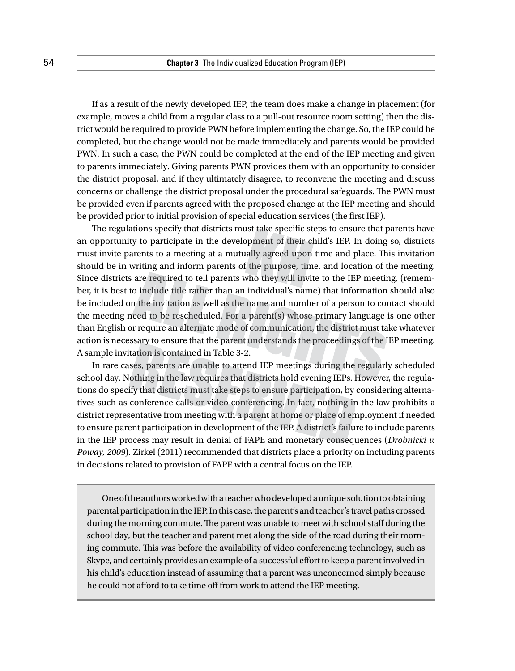If as a result of the newly developed IEP, the team does make a change in placement (for example, moves a child from a regular class to a pull-out resource room setting) then the district would be required to provide PWN before implementing the change. So, the IEP could be completed, but the change would not be made immediately and parents would be provided PWN. In such a case, the PWN could be completed at the end of the IEP meeting and given to parents immediately. Giving parents PWN provides them with an opportunity to consider the district proposal, and if they ultimately disagree, to reconvene the meeting and discuss concerns or challenge the district proposal under the procedural safeguards. The PWN must be provided even if parents agreed with the proposed change at the IEP meeting and should be provided prior to initial provision of special education services (the first IEP).

The regulations specify that districts must take specific steps to ensure that parents have an opportunity to participate in the development of their child's IEP. In doing so, districts must invite parents to a meeting at a mutually agreed upon time and place. This invitation should be in writing and inform parents of the purpose, time, and location of the meeting. Since districts are required to tell parents who they will invite to the IEP meeting, (remember, it is best to include title rather than an individual's name) that information should also be included on the invitation as well as the name and number of a person to contact should the meeting need to be rescheduled. For a parent(s) whose primary language is one other than English or require an alternate mode of communication, the district must take whatever action is necessary to ensure that the parent understands the proceedings of the IEP meeting. A sample invitation is contained in Table 3-2.

In rare cases, parents are unable to attend IEP meetings during the regularly scheduled school day. Nothing in the law requires that districts hold evening IEPs. However, the regulations do specify that districts must take steps to ensure participation, by considering alternatives such as conference calls or video conferencing. In fact, nothing in the law prohibits a district representative from meeting with a parent at home or place of employment if needed to ensure parent participation in development of the IEP. A district's failure to include parents in the IEP process may result in denial of FAPE and monetary consequences (*Drobnicki v. Poway, 2009*). Zirkel (2011) recommended that districts place a priority on including parents in decisions related to provision of FAPE with a central focus on the IEP.

One of the authors worked with a teacher who developed a unique solution to obtaining parental participation in the IEP. In this case, the parent's and teacher's travel paths crossed during the morning commute. The parent was unable to meet with school staff during the school day, but the teacher and parent met along the side of the road during their morning commute. This was before the availability of video conferencing technology, such as Skype, and certainly provides an example of a successful effort to keep a parent involved in his child's education instead of assuming that a parent was unconcerned simply because he could not afford to take time off from work to attend the IEP meeting.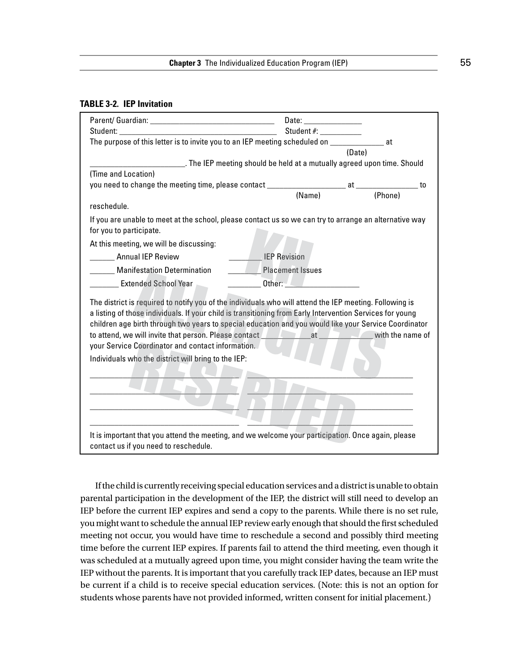#### **Table 3-2. IEP Invitation**

|                                                                                                                                                                                                                                                                                                                                                                                                                                                                                                     | Date: __________________    |        |                  |    |
|-----------------------------------------------------------------------------------------------------------------------------------------------------------------------------------------------------------------------------------------------------------------------------------------------------------------------------------------------------------------------------------------------------------------------------------------------------------------------------------------------------|-----------------------------|--------|------------------|----|
|                                                                                                                                                                                                                                                                                                                                                                                                                                                                                                     | Student #: ____________     |        |                  |    |
| The purpose of this letter is to invite you to an IEP meeting scheduled on ______________ at                                                                                                                                                                                                                                                                                                                                                                                                        |                             |        |                  |    |
|                                                                                                                                                                                                                                                                                                                                                                                                                                                                                                     |                             | (Date) |                  |    |
| The IEP meeting should be held at a mutually agreed upon time. Should                                                                                                                                                                                                                                                                                                                                                                                                                               |                             |        |                  |    |
| (Time and Location)                                                                                                                                                                                                                                                                                                                                                                                                                                                                                 |                             |        |                  |    |
|                                                                                                                                                                                                                                                                                                                                                                                                                                                                                                     |                             |        |                  | to |
|                                                                                                                                                                                                                                                                                                                                                                                                                                                                                                     | (Name)                      |        | (Phone)          |    |
| reschedule.                                                                                                                                                                                                                                                                                                                                                                                                                                                                                         |                             |        |                  |    |
| If you are unable to meet at the school, please contact us so we can try to arrange an alternative way<br>for you to participate.                                                                                                                                                                                                                                                                                                                                                                   |                             |        |                  |    |
| At this meeting, we will be discussing:                                                                                                                                                                                                                                                                                                                                                                                                                                                             |                             |        |                  |    |
| Annual IEP Review                                                                                                                                                                                                                                                                                                                                                                                                                                                                                   | <b>IEP Revision</b>         |        |                  |    |
| <b>Manifestation Determination</b>                                                                                                                                                                                                                                                                                                                                                                                                                                                                  | Placement Issues            |        |                  |    |
| <b>Extended School Year</b>                                                                                                                                                                                                                                                                                                                                                                                                                                                                         | Other: <b>Communication</b> |        |                  |    |
| The district is required to notify you of the individuals who will attend the IEP meeting. Following is<br>a listing of those individuals. If your child is transitioning from Early Intervention Services for young<br>children age birth through two years to special education and you would like your Service Coordinator<br>to attend, we will invite that person. Please contact and the sate of the same of the same of the same of the<br>your Service Coordinator and contact information. |                             |        | with the name of |    |
| Individuals who the district will bring to the IEP:                                                                                                                                                                                                                                                                                                                                                                                                                                                 |                             |        |                  |    |
|                                                                                                                                                                                                                                                                                                                                                                                                                                                                                                     |                             |        |                  |    |
|                                                                                                                                                                                                                                                                                                                                                                                                                                                                                                     |                             |        |                  |    |
|                                                                                                                                                                                                                                                                                                                                                                                                                                                                                                     |                             |        |                  |    |
| It is important that you attend the meeting, and we welcome your participation. Once again, please                                                                                                                                                                                                                                                                                                                                                                                                  |                             |        |                  |    |
| contact us if you need to reschedule.                                                                                                                                                                                                                                                                                                                                                                                                                                                               |                             |        |                  |    |

If the child is currently receiving special education services and a district is unable to obtain parental participation in the development of the IEP, the district will still need to develop an IEP before the current IEP expires and send a copy to the parents. While there is no set rule, you might want to schedule the annual IEP review early enough that should the first scheduled meeting not occur, you would have time to reschedule a second and possibly third meeting time before the current IEP expires. If parents fail to attend the third meeting, even though it was scheduled at a mutually agreed upon time, you might consider having the team write the IEP without the parents. It is important that you carefully track IEP dates, because an IEP must be current if a child is to receive special education services. (Note: this is not an option for students whose parents have not provided informed, written consent for initial placement.)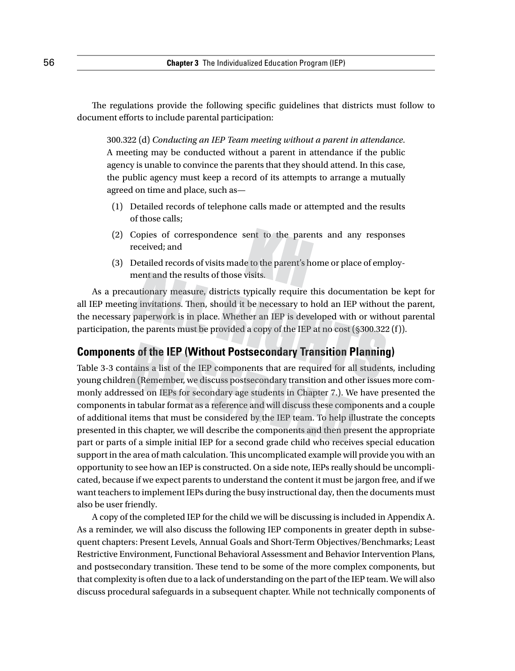The regulations provide the following specific guidelines that districts must follow to document efforts to include parental participation:

300.322 (d) *Conducting an IEP Team meeting without a parent in attendance*. A meeting may be conducted without a parent in attendance if the public agency is unable to convince the parents that they should attend. In this case, the public agency must keep a record of its attempts to arrange a mutually agreed on time and place, such as—

- (1) Detailed records of telephone calls made or attempted and the results of those calls;
- (2) Copies of correspondence sent to the parents and any responses received; and
- (3) Detailed records of visits made to the parent's home or place of employment and the results of those visits.

As a precautionary measure, districts typically require this documentation be kept for all IEP meeting invitations. Then, should it be necessary to hold an IEP without the parent, the necessary paperwork is in place. Whether an IEP is developed with or without parental participation, the parents must be provided a copy of the IEP at no cost (§300.322 (f)).

### **Components of the IEP (Without Postsecondary Transition Planning)**

Table 3-3 contains a list of the IEP components that are required for all students, including young children (Remember, we discuss postsecondary transition and other issues more commonly addressed on IEPs for secondary age students in Chapter 7.). We have presented the components in tabular format as a reference and will discuss these components and a couple of additional items that must be considered by the IEP team. To help illustrate the concepts presented in this chapter, we will describe the components and then present the appropriate part or parts of a simple initial IEP for a second grade child who receives special education support in the area of math calculation. This uncomplicated example will provide you with an opportunity to see how an IEP is constructed. On a side note, IEPs really should be uncomplicated, because if we expect parents to understand the content it must be jargon free, and if we want teachers to implement IEPs during the busy instructional day, then the documents must also be user friendly.

A copy of the completed IEP for the child we will be discussing is included in Appendix A. As a reminder, we will also discuss the following IEP components in greater depth in subsequent chapters: Present Levels, Annual Goals and Short-Term Objectives/Benchmarks; Least Restrictive Environment, Functional Behavioral Assessment and Behavior Intervention Plans, and postsecondary transition. These tend to be some of the more complex components, but that complexity is often due to a lack of understanding on the part of the IEP team. We will also discuss procedural safeguards in a subsequent chapter. While not technically components of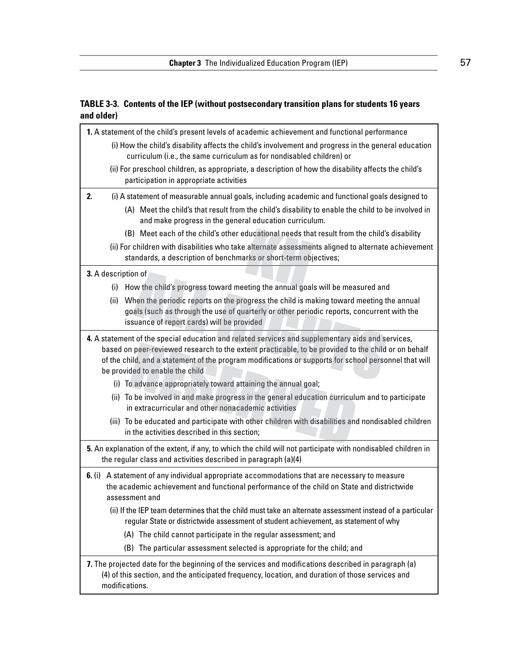### **Table 3-3. Contents of the IEP (without postsecondary transition plans for students 16 years and older)**

| 1. A statement of the child's present levels of academic achievement and functional performance                                                                                                                                                                                                                                                      |
|------------------------------------------------------------------------------------------------------------------------------------------------------------------------------------------------------------------------------------------------------------------------------------------------------------------------------------------------------|
| (i) How the child's disability affects the child's involvement and progress in the general education<br>curriculum (i.e., the same curriculum as for nondisabled children) or                                                                                                                                                                        |
| (ii) For preschool children, as appropriate, a description of how the disability affects the child's<br>participation in appropriate activities                                                                                                                                                                                                      |
| 2.<br>(i) A statement of measurable annual goals, including academic and functional goals designed to                                                                                                                                                                                                                                                |
| (A) Meet the child's that result from the child's disability to enable the child to be involved in<br>and make progress in the general education curriculum.                                                                                                                                                                                         |
| (B) Meet each of the child's other educational needs that result from the child's disability                                                                                                                                                                                                                                                         |
| (ii) For children with disabilities who take alternate assessments aligned to alternate achievement<br>standards, a description of benchmarks or short-term objectives;                                                                                                                                                                              |
| 3. A description of                                                                                                                                                                                                                                                                                                                                  |
| (i) How the child's progress toward meeting the annual goals will be measured and                                                                                                                                                                                                                                                                    |
| (ii) When the periodic reports on the progress the child is making toward meeting the annual<br>goals (such as through the use of quarterly or other periodic reports, concurrent with the<br>issuance of report cards) will be provided                                                                                                             |
| 4. A statement of the special education and related services and supplementary aids and services,<br>based on peer-reviewed research to the extent practicable, to be provided to the child or on behalf<br>of the child, and a statement of the program modifications or supports for school personnel that will<br>be provided to enable the child |
| (i) To advance appropriately toward attaining the annual goal;                                                                                                                                                                                                                                                                                       |
| (ii) To be involved in and make progress in the general education curriculum and to participate<br>in extracurricular and other nonacademic activities                                                                                                                                                                                               |
| (iii) To be educated and participate with other children with disabilities and nondisabled children<br>in the activities described in this section;                                                                                                                                                                                                  |
| 5. An explanation of the extent, if any, to which the child will not participate with nondisabled children in<br>the regular class and activities described in paragraph (a)(4)                                                                                                                                                                      |
| 6. (i) A statement of any individual appropriate accommodations that are necessary to measure<br>the academic achievement and functional performance of the child on State and districtwide<br>assessment and                                                                                                                                        |
| (ii) If the IEP team determines that the child must take an alternate assessment instead of a particular<br>regular State or districtwide assessment of student achievement, as statement of why                                                                                                                                                     |
| (A) The child cannot participate in the regular assessment; and                                                                                                                                                                                                                                                                                      |
| The particular assessment selected is appropriate for the child; and<br>(B)                                                                                                                                                                                                                                                                          |
| 7. The projected date for the beginning of the services and modifications described in paragraph (a)<br>(4) of this section, and the anticipated frequency, location, and duration of those services and<br>modifications.                                                                                                                           |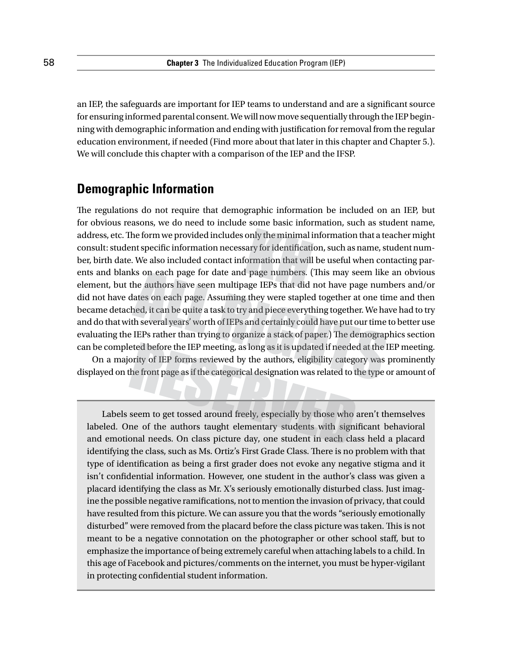an IEP, the safeguards are important for IEP teams to understand and are a significant source for ensuring informed parental consent. We will now move sequentially through the IEP beginning with demographic information and ending with justification for removal from the regular education environment, if needed (Find more about that later in this chapter and Chapter 5.). We will conclude this chapter with a comparison of the IEP and the IFSP.

### **Demographic Information**

The regulations do not require that demographic information be included on an IEP, but for obvious reasons, we do need to include some basic information, such as student name, address, etc. The form we provided includes only the minimal information that a teacher might consult: student specific information necessary for identification, such as name, student number, birth date. We also included contact information that will be useful when contacting parents and blanks on each page for date and page numbers. (This may seem like an obvious element, but the authors have seen multipage IEPs that did not have page numbers and/or did not have dates on each page. Assuming they were stapled together at one time and then became detached, it can be quite a task to try and piece everything together. We have had to try and do that with several years' worth of IEPs and certainly could have put our time to better use evaluating the IEPs rather than trying to organize a stack of paper.) The demographics section can be completed before the IEP meeting, as long as it is updated if needed at the IEP meeting.

On a majority of IEP forms reviewed by the authors, eligibility category was prominently displayed on the front page as if the categorical designation was related to the type or amount of

Labels seem to get tossed around freely, especially by those who aren't themselves labeled. One of the authors taught elementary students with significant behavioral and emotional needs. On class picture day, one student in each class held a placard identifying the class, such as Ms. Ortiz's First Grade Class. There is no problem with that type of identification as being a first grader does not evoke any negative stigma and it isn't confidential information. However, one student in the author's class was given a placard identifying the class as Mr. X's seriously emotionally disturbed class. Just imagine the possible negative ramifications, not to mention the invasion of privacy, that could have resulted from this picture. We can assure you that the words "seriously emotionally disturbed" were removed from the placard before the class picture was taken. This is not meant to be a negative connotation on the photographer or other school staff, but to emphasize the importance of being extremely careful when attaching labels to a child. In this age of Facebook and pictures/comments on the internet, you must be hyper-vigilant in protecting confidential student information.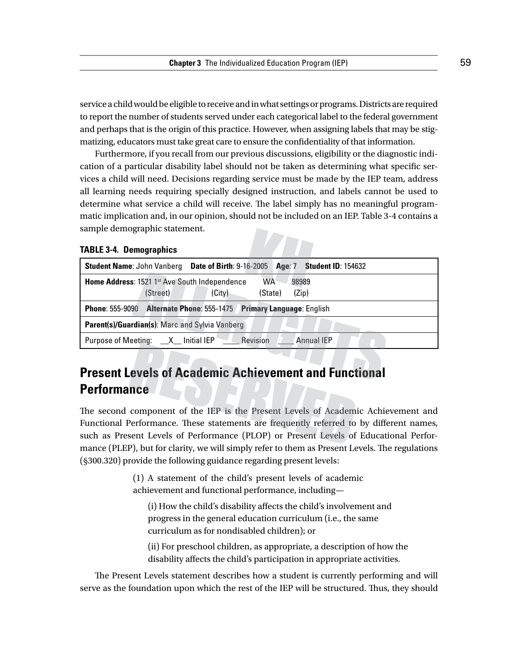service a child would be eligible to receive and in what settings or programs. Districts are required to report the number of students served under each categorical label to the federal government and perhaps that is the origin of this practice. However, when assigning labels that may be stigmatizing, educators must take great care to ensure the confidentiality of that information.

Furthermore, if you recall from our previous discussions, eligibility or the diagnostic indication of a particular disability label should not be taken as determining what specific services a child will need. Decisions regarding service must be made by the IEP team, address all learning needs requiring specially designed instruction, and labels cannot be used to determine what service a child will receive. The label simply has no meaningful programmatic implication and, in our opinion, should not be included on an IEP. Table 3-4 contains a sample demographic statement.

#### **Table 3-4. Demographics**

|                                   |          | <b>Student Name: John Vanberg Date of Birth: 9-16-2005</b> |           |       | Age: $7$ Student ID: 154632 |
|-----------------------------------|----------|------------------------------------------------------------|-----------|-------|-----------------------------|
|                                   |          | Home Address: 1521 1st Ave South Independence              | <b>WA</b> | 98989 |                             |
|                                   | (Street) | (City)                                                     | (State)   | (Zip) |                             |
| <b>Phone: 555-9090</b>            |          | Alternate Phone: 555-1475 Primary Language: English        |           |       |                             |
|                                   |          | <b>Parent(s)/Guardian(s): Marc and Sylvia Vanberg</b>      |           |       |                             |
| Purpose of Meeting: X Initial IEP |          |                                                            | Revision  |       | Annual IEP                  |

# **Present Levels of Academic Achievement and Functional Performance**

The second component of the IEP is the Present Levels of Academic Achievement and Functional Performance. These statements are frequently referred to by different names, such as Present Levels of Performance (PLOP) or Present Levels of Educational Performance (PLEP), but for clarity, we will simply refer to them as Present Levels. The regulations (§300.320) provide the following guidance regarding present levels:

> (1) A statement of the child's present levels of academic achievement and functional performance, including—

(i) How the child's disability affects the child's involvement and progress in the general education curriculum (i.e., the same curriculum as for nondisabled children); or

(ii) For preschool children, as appropriate, a description of how the disability affects the child's participation in appropriate activities.

The Present Levels statement describes how a student is currently performing and will serve as the foundation upon which the rest of the IEP will be structured. Thus, they should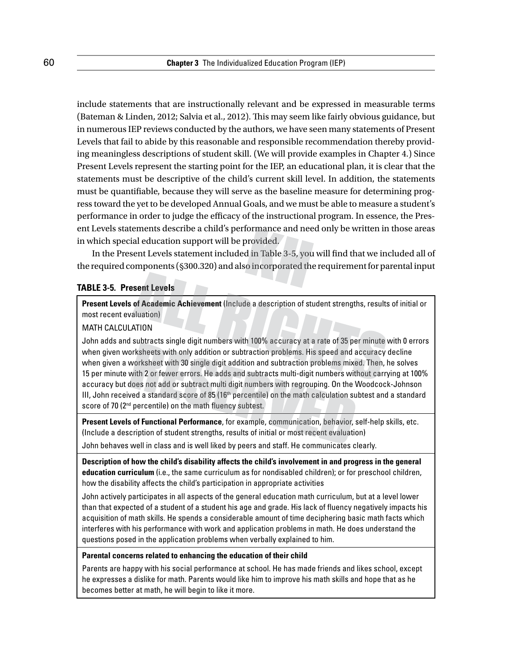include statements that are instructionally relevant and be expressed in measurable terms (Bateman & Linden, 2012; Salvia et al., 2012). This may seem like fairly obvious guidance, but in numerous IEP reviews conducted by the authors, we have seen many statements of Present Levels that fail to abide by this reasonable and responsible recommendation thereby providing meaningless descriptions of student skill. (We will provide examples in Chapter 4.) Since Present Levels represent the starting point for the IEP, an educational plan, it is clear that the statements must be descriptive of the child's current skill level. In addition, the statements must be quantifiable, because they will serve as the baseline measure for determining progress toward the yet to be developed Annual Goals, and we must be able to measure a student's performance in order to judge the efficacy of the instructional program. In essence, the Present Levels statements describe a child's performance and need only be written in those areas in which special education support will be provided.

In the Present Levels statement included in Table 3-5, you will find that we included all of the required components (§300.320) and also incorporated the requirement for parental input

#### **Table 3-5. Present Levels**

**Present Levels of Academic Achievement** (Include a description of student strengths, results of initial or most recent evaluation)

#### MATH CALCULATION

John adds and subtracts single digit numbers with 100% accuracy at a rate of 35 per minute with 0 errors when given worksheets with only addition or subtraction problems. His speed and accuracy decline when given a worksheet with 30 single digit addition and subtraction problems mixed. Then, he solves 15 per minute with 2 or fewer errors. He adds and subtracts multi-digit numbers without carrying at 100% accuracy but does not add or subtract multi digit numbers with regrouping. On the Woodcock-Johnson III, John received a standard score of 85 (16<sup>th</sup> percentile) on the math calculation subtest and a standard score of 70 (2<sup>nd</sup> percentile) on the math fluency subtest.

**Present Levels of Functional Performance**, for example, communication, behavior, self-help skills, etc. (Include a description of student strengths, results of initial or most recent evaluation)

John behaves well in class and is well liked by peers and staff. He communicates clearly.

**Description of how the child's disability affects the child's involvement in and progress in the general education curriculum** (i.e., the same curriculum as for nondisabled children); or for preschool children, how the disability affects the child's participation in appropriate activities

John actively participates in all aspects of the general education math curriculum, but at a level lower than that expected of a student of a student his age and grade. His lack of fluency negatively impacts his acquisition of math skills. He spends a considerable amount of time deciphering basic math facts which interferes with his performance with work and application problems in math. He does understand the questions posed in the application problems when verbally explained to him.

#### **Parental concerns related to enhancing the education of their child**

Parents are happy with his social performance at school. He has made friends and likes school, except he expresses a dislike for math. Parents would like him to improve his math skills and hope that as he becomes better at math, he will begin to like it more.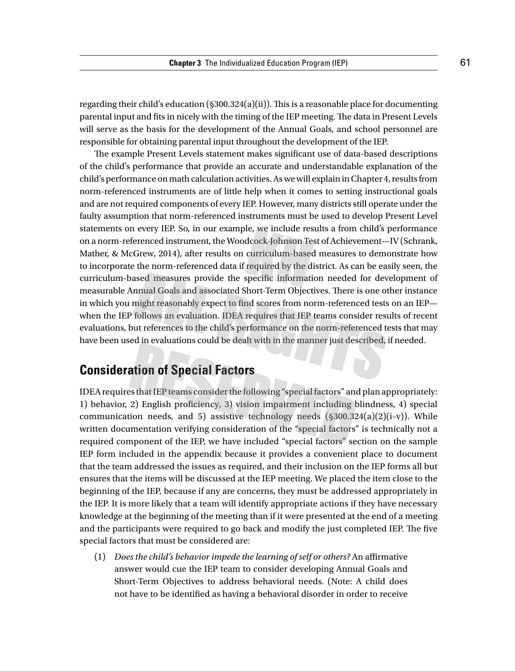regarding their child's education  $(\frac{2300.324(a)(ii)}{i}$ . This is a reasonable place for documenting parental input and fits in nicely with the timing of the IEP meeting. The data in Present Levels will serve as the basis for the development of the Annual Goals, and school personnel are responsible for obtaining parental input throughout the development of the IEP.

The example Present Levels statement makes significant use of data-based descriptions of the child's performance that provide an accurate and understandable explanation of the child's performance on math calculation activities. As we will explain in Chapter 4, results from norm-referenced instruments are of little help when it comes to setting instructional goals and are not required components of every IEP. However, many districts still operate under the faulty assumption that norm-referenced instruments must be used to develop Present Level statements on every IEP. So, in our example, we include results a from child's performance on a norm-referenced instrument, the Woodcock-Johnson Test of Achievement—IV (Schrank, Mather, & McGrew, 2014), after results on curriculum-based measures to demonstrate how to incorporate the norm-referenced data if required by the district. As can be easily seen, the curriculum-based measures provide the specific information needed for development of measurable Annual Goals and associated Short-Term Objectives. There is one other instance in which you might reasonably expect to find scores from norm-referenced tests on an IEP when the IEP follows an evaluation. IDEA requires that IEP teams consider results of recent evaluations, but references to the child's performance on the norm-referenced tests that may have been used in evaluations could be dealt with in the manner just described, if needed.

# **Consideration of Special Factors**

IDEA requires that IEP teams consider the following "special factors" and plan appropriately: 1) behavior, 2) English proficiency, 3) vision impairment including blindness, 4) special communication needs, and 5) assistive technology needs  $(\$300.324(a)(2)(i-v))$ . While written documentation verifying consideration of the "special factors" is technically not a required component of the IEP, we have included "special factors" section on the sample IEP form included in the appendix because it provides a convenient place to document that the team addressed the issues as required, and their inclusion on the IEP forms all but ensures that the items will be discussed at the IEP meeting. We placed the item close to the beginning of the IEP, because if any are concerns, they must be addressed appropriately in the IEP. It is more likely that a team will identify appropriate actions if they have necessary knowledge at the beginning of the meeting than if it were presented at the end of a meeting and the participants were required to go back and modify the just completed IEP. The five special factors that must be considered are:

(1) *Does the child's behavior impede the learning of self or others?* An affirmative answer would cue the IEP team to consider developing Annual Goals and Short-Term Objectives to address behavioral needs. (Note: A child does not have to be identified as having a behavioral disorder in order to receive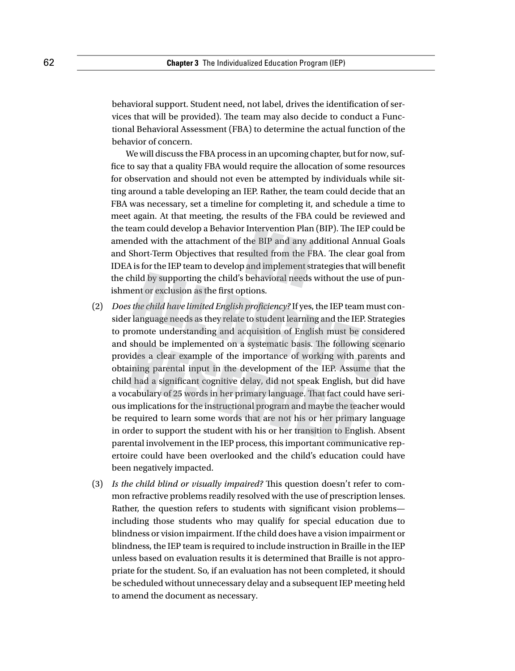behavioral support. Student need, not label, drives the identification of services that will be provided). The team may also decide to conduct a Functional Behavioral Assessment (FBA) to determine the actual function of the behavior of concern.

We will discuss the FBA process in an upcoming chapter, but for now, suffice to say that a quality FBA would require the allocation of some resources for observation and should not even be attempted by individuals while sitting around a table developing an IEP. Rather, the team could decide that an FBA was necessary, set a timeline for completing it, and schedule a time to meet again. At that meeting, the results of the FBA could be reviewed and the team could develop a Behavior Intervention Plan (BIP). The IEP could be amended with the attachment of the BIP and any additional Annual Goals and Short-Term Objectives that resulted from the FBA. The clear goal from IDEA is for the IEP team to develop and implement strategies that will benefit the child by supporting the child's behavioral needs without the use of punishment or exclusion as the first options.

- (2) *Does the child have limited English proficiency?* If yes, the IEP team must consider language needs as they relate to student learning and the IEP. Strategies to promote understanding and acquisition of English must be considered and should be implemented on a systematic basis. The following scenario provides a clear example of the importance of working with parents and obtaining parental input in the development of the IEP. Assume that the child had a significant cognitive delay, did not speak English, but did have a vocabulary of 25 words in her primary language. That fact could have serious implications for the instructional program and maybe the teacher would be required to learn some words that are not his or her primary language in order to support the student with his or her transition to English. Absent parental involvement in the IEP process, this important communicative repertoire could have been overlooked and the child's education could have been negatively impacted.
- (3) *Is the child blind or visually impaired?* This question doesn't refer to common refractive problems readily resolved with the use of prescription lenses. Rather, the question refers to students with significant vision problems including those students who may qualify for special education due to blindness or vision impairment. If the child does have a vision impairment or blindness, the IEP team is required to include instruction in Braille in the IEP unless based on evaluation results it is determined that Braille is not appropriate for the student. So, if an evaluation has not been completed, it should be scheduled without unnecessary delay and a subsequent IEP meeting held to amend the document as necessary.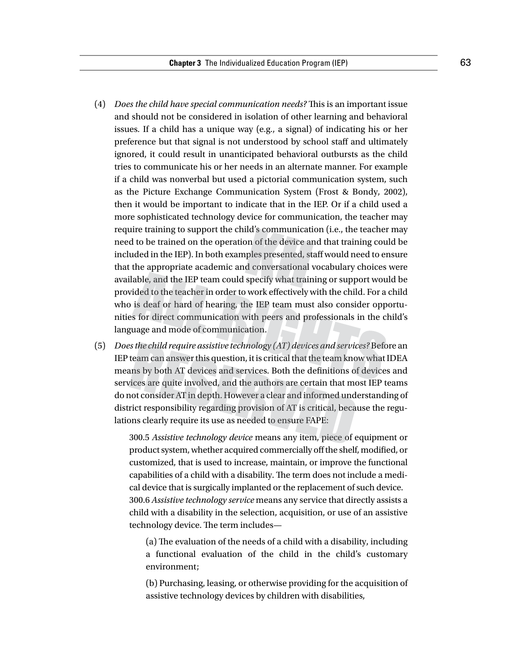- (4) *Does the child have special communication needs?* This is an important issue and should not be considered in isolation of other learning and behavioral issues. If a child has a unique way (e.g., a signal) of indicating his or her preference but that signal is not understood by school staff and ultimately ignored, it could result in unanticipated behavioral outbursts as the child tries to communicate his or her needs in an alternate manner. For example if a child was nonverbal but used a pictorial communication system, such as the Picture Exchange Communication System (Frost & Bondy, 2002), then it would be important to indicate that in the IEP. Or if a child used a more sophisticated technology device for communication, the teacher may require training to support the child's communication (i.e., the teacher may need to be trained on the operation of the device and that training could be included in the IEP). In both examples presented, staff would need to ensure that the appropriate academic and conversational vocabulary choices were available, and the IEP team could specify what training or support would be provided to the teacher in order to work effectively with the child. For a child who is deaf or hard of hearing, the IEP team must also consider opportunities for direct communication with peers and professionals in the child's language and mode of communication.
- (5) *Does the child require assistive technology (AT) devices and services?* Before an IEP team can answer this question, it is critical that the team know what IDEA means by both AT devices and services. Both the definitions of devices and services are quite involved, and the authors are certain that most IEP teams do not consider AT in depth. However a clear and informed understanding of district responsibility regarding provision of AT is critical, because the regulations clearly require its use as needed to ensure FAPE:

300.5 *Assistive technology device* means any item, piece of equipment or product system, whether acquired commercially off the shelf, modified, or customized, that is used to increase, maintain, or improve the functional capabilities of a child with a disability. The term does not include a medical device that is surgically implanted or the replacement of such device. 300.6 *Assistive technology service* means any service that directly assists a child with a disability in the selection, acquisition, or use of an assistive technology device. The term includes—

(a) The evaluation of the needs of a child with a disability, including a functional evaluation of the child in the child's customary environment;

(b) Purchasing, leasing, or otherwise providing for the acquisition of assistive technology devices by children with disabilities,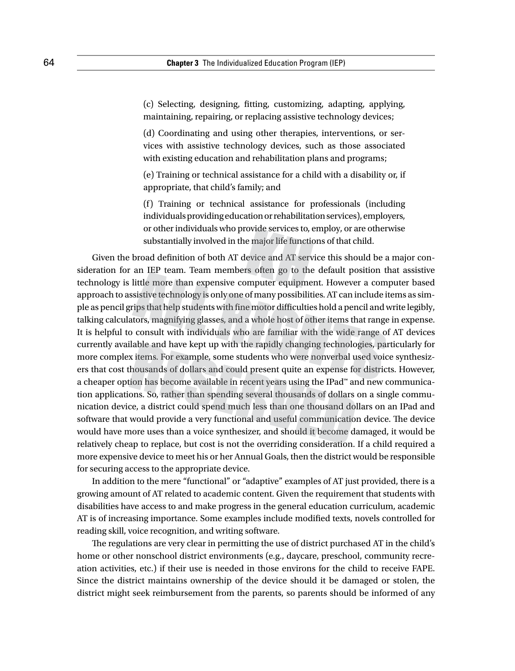(c) Selecting, designing, fitting, customizing, adapting, applying, maintaining, repairing, or replacing assistive technology devices;

(d) Coordinating and using other therapies, interventions, or services with assistive technology devices, such as those associated with existing education and rehabilitation plans and programs;

(e) Training or technical assistance for a child with a disability or, if appropriate, that child's family; and

(f) Training or technical assistance for professionals (including individuals providing education or rehabilitation services), employers, or other individuals who provide services to, employ, or are otherwise substantially involved in the major life functions of that child.

Given the broad definition of both AT device and AT service this should be a major consideration for an IEP team. Team members often go to the default position that assistive technology is little more than expensive computer equipment. However a computer based approach to assistive technology is only one of many possibilities. AT can include items as simple as pencil grips that help students with fine motor difficulties hold a pencil and write legibly, talking calculators, magnifying glasses, and a whole host of other items that range in expense. It is helpful to consult with individuals who are familiar with the wide range of AT devices currently available and have kept up with the rapidly changing technologies, particularly for more complex items. For example, some students who were nonverbal used voice synthesizers that cost thousands of dollars and could present quite an expense for districts. However, a cheaper option has become available in recent years using the IPad™ and new communication applications. So, rather than spending several thousands of dollars on a single communication device, a district could spend much less than one thousand dollars on an IPad and software that would provide a very functional and useful communication device. The device would have more uses than a voice synthesizer, and should it become damaged, it would be relatively cheap to replace, but cost is not the overriding consideration. If a child required a more expensive device to meet his or her Annual Goals, then the district would be responsible for securing access to the appropriate device.

In addition to the mere "functional" or "adaptive" examples of AT just provided, there is a growing amount of AT related to academic content. Given the requirement that students with disabilities have access to and make progress in the general education curriculum, academic AT is of increasing importance. Some examples include modified texts, novels controlled for reading skill, voice recognition, and writing software.

The regulations are very clear in permitting the use of district purchased AT in the child's home or other nonschool district environments (e.g., daycare, preschool, community recreation activities, etc.) if their use is needed in those environs for the child to receive FAPE. Since the district maintains ownership of the device should it be damaged or stolen, the district might seek reimbursement from the parents, so parents should be informed of any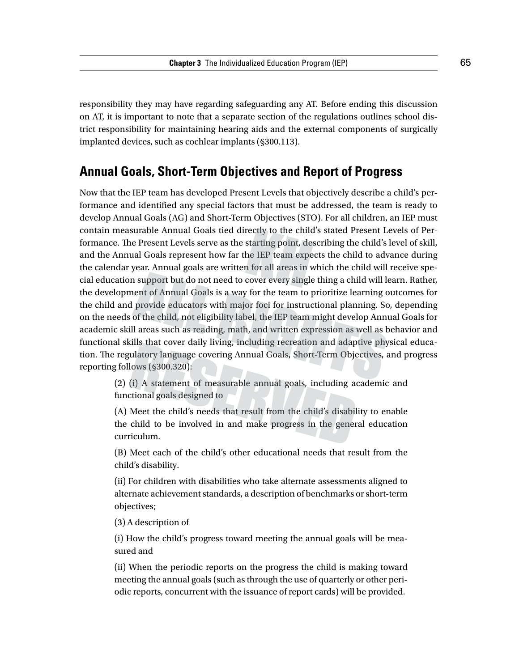responsibility they may have regarding safeguarding any AT. Before ending this discussion on AT, it is important to note that a separate section of the regulations outlines school district responsibility for maintaining hearing aids and the external components of surgically implanted devices, such as cochlear implants (§300.113).

# **Annual Goals, Short-Term Objectives and Report of Progress**

Now that the IEP team has developed Present Levels that objectively describe a child's performance and identified any special factors that must be addressed, the team is ready to develop Annual Goals (AG) and Short-Term Objectives (STO). For all children, an IEP must contain measurable Annual Goals tied directly to the child's stated Present Levels of Performance. The Present Levels serve as the starting point, describing the child's level of skill, and the Annual Goals represent how far the IEP team expects the child to advance during the calendar year. Annual goals are written for all areas in which the child will receive special education support but do not need to cover every single thing a child will learn. Rather, the development of Annual Goals is a way for the team to prioritize learning outcomes for the child and provide educators with major foci for instructional planning. So, depending on the needs of the child, not eligibility label, the IEP team might develop Annual Goals for academic skill areas such as reading, math, and written expression as well as behavior and functional skills that cover daily living, including recreation and adaptive physical education. The regulatory language covering Annual Goals, Short-Term Objectives, and progress reporting follows (§300.320):

(2) (i) A statement of measurable annual goals, including academic and functional goals designed to

(A) Meet the child's needs that result from the child's disability to enable the child to be involved in and make progress in the general education curriculum.

(B) Meet each of the child's other educational needs that result from the child's disability.

(ii) For children with disabilities who take alternate assessments aligned to alternate achievement standards, a description of benchmarks or short-term objectives;

(3) A description of

(i) How the child's progress toward meeting the annual goals will be measured and

(ii) When the periodic reports on the progress the child is making toward meeting the annual goals (such as through the use of quarterly or other periodic reports, concurrent with the issuance of report cards) will be provided.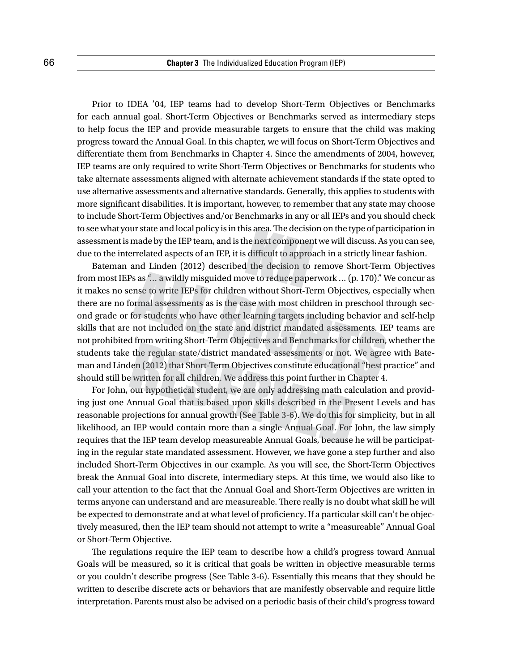Prior to IDEA '04, IEP teams had to develop Short-Term Objectives or Benchmarks for each annual goal. Short-Term Objectives or Benchmarks served as intermediary steps to help focus the IEP and provide measurable targets to ensure that the child was making progress toward the Annual Goal. In this chapter, we will focus on Short-Term Objectives and differentiate them from Benchmarks in Chapter 4. Since the amendments of 2004, however, IEP teams are only required to write Short-Term Objectives or Benchmarks for students who take alternate assessments aligned with alternate achievement standards if the state opted to use alternative assessments and alternative standards. Generally, this applies to students with more significant disabilities. It is important, however, to remember that any state may choose to include Short-Term Objectives and/or Benchmarks in any or all IEPs and you should check to see what your state and local policy is in this area. The decision on the type of participation in assessment is made by the IEP team, and is the next component we will discuss. As you can see, due to the interrelated aspects of an IEP, it is difficult to approach in a strictly linear fashion.

Bateman and Linden (2012) described the decision to remove Short-Term Objectives from most IEPs as "… a wildly misguided move to reduce paperwork … (p. 170)." We concur as it makes no sense to write IEPs for children without Short-Term Objectives, especially when there are no formal assessments as is the case with most children in preschool through second grade or for students who have other learning targets including behavior and self-help skills that are not included on the state and district mandated assessments. IEP teams are not prohibited from writing Short-Term Objectives and Benchmarks for children, whether the students take the regular state/district mandated assessments or not. We agree with Bateman and Linden (2012) that Short-Term Objectives constitute educational "best practice" and should still be written for all children. We address this point further in Chapter 4.

For John, our hypothetical student, we are only addressing math calculation and providing just one Annual Goal that is based upon skills described in the Present Levels and has reasonable projections for annual growth (See Table 3-6). We do this for simplicity, but in all likelihood, an IEP would contain more than a single Annual Goal. For John, the law simply requires that the IEP team develop measureable Annual Goals, because he will be participating in the regular state mandated assessment. However, we have gone a step further and also included Short-Term Objectives in our example. As you will see, the Short-Term Objectives break the Annual Goal into discrete, intermediary steps. At this time, we would also like to call your attention to the fact that the Annual Goal and Short-Term Objectives are written in terms anyone can understand and are measureable. There really is no doubt what skill he will be expected to demonstrate and at what level of proficiency. If a particular skill can't be objectively measured, then the IEP team should not attempt to write a "measureable" Annual Goal or Short-Term Objective.

The regulations require the IEP team to describe how a child's progress toward Annual Goals will be measured, so it is critical that goals be written in objective measurable terms or you couldn't describe progress (See Table 3-6). Essentially this means that they should be written to describe discrete acts or behaviors that are manifestly observable and require little interpretation. Parents must also be advised on a periodic basis of their child's progress toward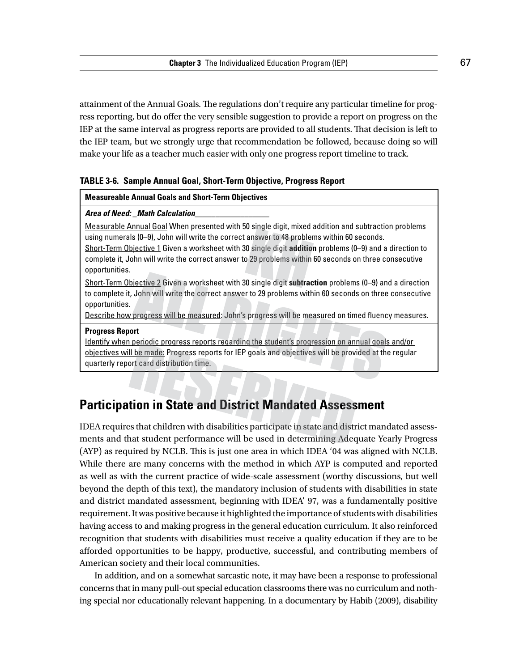attainment of the Annual Goals. The regulations don't require any particular timeline for progress reporting, but do offer the very sensible suggestion to provide a report on progress on the IEP at the same interval as progress reports are provided to all students. That decision is left to the IEP team, but we strongly urge that recommendation be followed, because doing so will make your life as a teacher much easier with only one progress report timeline to track.

#### **Table 3-6. Sample Annual Goal, Short-Term Objective, Progress Report**

#### **Measureable Annual Goals and Short-Term Objectives**

#### *Area of Need: \_Math Calculation\_\_\_\_\_\_\_\_\_\_\_\_\_\_\_\_\_\_*

Measurable Annual Goal When presented with 50 single digit, mixed addition and subtraction problems using numerals (0–9), John will write the correct answer to 48 problems within 60 seconds.

Short-Term Objective 1 Given a worksheet with 30 single digit **addition** problems (0–9) and a direction to complete it, John will write the correct answer to 29 problems within 60 seconds on three consecutive opportunities.

Short-Term Objective 2 Given a worksheet with 30 single digit **subtraction** problems (0–9) and a direction to complete it, John will write the correct answer to 29 problems within 60 seconds on three consecutive opportunities.

Describe how progress will be measured: John's progress will be measured on timed fluency measures.

#### **Progress Report**

Identify when periodic progress reports regarding the student's progression on annual goals and/or objectives will be made: Progress reports for IEP goals and objectives will be provided at the regular quarterly report card distribution time.

# **Participation in State and District Mandated Assessment**

IDEA requires that children with disabilities participate in state and district mandated assessments and that student performance will be used in determining Adequate Yearly Progress (AYP) as required by NCLB. This is just one area in which IDEA '04 was aligned with NCLB. While there are many concerns with the method in which AYP is computed and reported as well as with the current practice of wide-scale assessment (worthy discussions, but well beyond the depth of this text), the mandatory inclusion of students with disabilities in state and district mandated assessment, beginning with IDEA' 97, was a fundamentally positive requirement. It was positive because it highlighted the importance of students with disabilities having access to and making progress in the general education curriculum. It also reinforced recognition that students with disabilities must receive a quality education if they are to be afforded opportunities to be happy, productive, successful, and contributing members of American society and their local communities.

In addition, and on a somewhat sarcastic note, it may have been a response to professional concerns that in many pull-out special education classrooms there was no curriculum and nothing special nor educationally relevant happening. In a documentary by Habib (2009), disability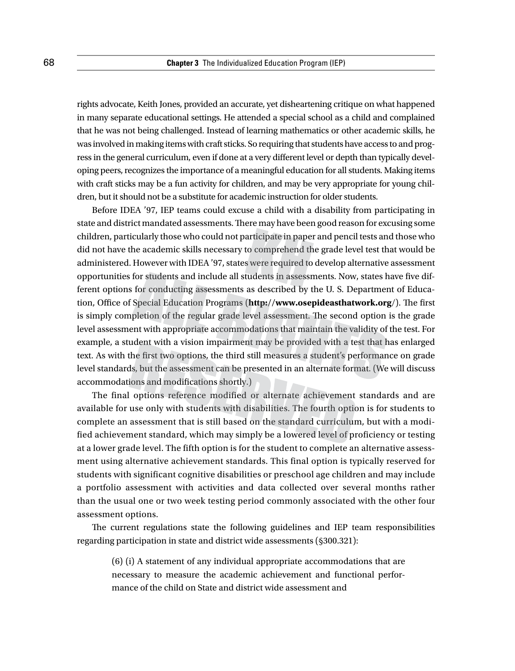rights advocate, Keith Jones, provided an accurate, yet disheartening critique on what happened in many separate educational settings. He attended a special school as a child and complained that he was not being challenged. Instead of learning mathematics or other academic skills, he was involved in making items with craft sticks. So requiring that students have access to and progress in the general curriculum, even if done at a very different level or depth than typically developing peers, recognizes the importance of a meaningful education for all students. Making items with craft sticks may be a fun activity for children, and may be very appropriate for young children, but it should not be a substitute for academic instruction for older students.

Before IDEA '97, IEP teams could excuse a child with a disability from participating in state and district mandated assessments. There may have been good reason for excusing some children, particularly those who could not participate in paper and pencil tests and those who did not have the academic skills necessary to comprehend the grade level test that would be administered. However with IDEA '97, states were required to develop alternative assessment opportunities for students and include all students in assessments. Now, states have five different options for conducting assessments as described by the U. S. Department of Education, Office of Special Education Programs (**http://www.osepideasthatwork.org**/). The first is simply completion of the regular grade level assessment. The second option is the grade level assessment with appropriate accommodations that maintain the validity of the test. For example, a student with a vision impairment may be provided with a test that has enlarged text. As with the first two options, the third still measures a student's performance on grade level standards, but the assessment can be presented in an alternate format. (We will discuss accommodations and modifications shortly.)

The final options reference modified or alternate achievement standards and are available for use only with students with disabilities. The fourth option is for students to complete an assessment that is still based on the standard curriculum, but with a modified achievement standard, which may simply be a lowered level of proficiency or testing at a lower grade level. The fifth option is for the student to complete an alternative assessment using alternative achievement standards. This final option is typically reserved for students with significant cognitive disabilities or preschool age children and may include a portfolio assessment with activities and data collected over several months rather than the usual one or two week testing period commonly associated with the other four assessment options.

The current regulations state the following guidelines and IEP team responsibilities regarding participation in state and district wide assessments (§300.321):

(6) (i) A statement of any individual appropriate accommodations that are necessary to measure the academic achievement and functional performance of the child on State and district wide assessment and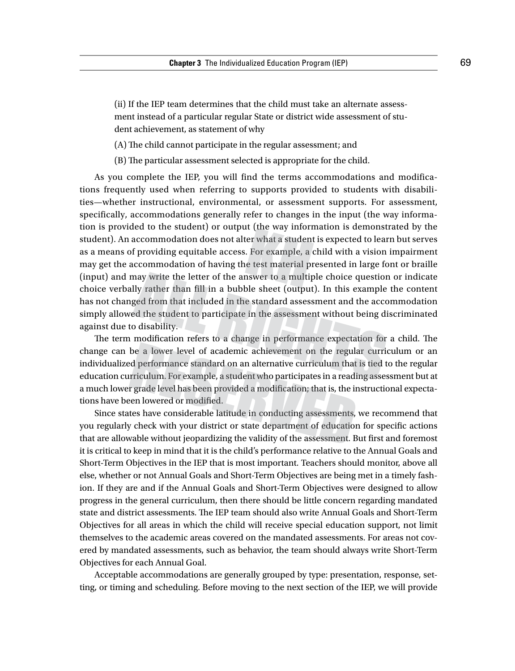(ii) If the IEP team determines that the child must take an alternate assessment instead of a particular regular State or district wide assessment of student achievement, as statement of why

(A) The child cannot participate in the regular assessment; and

(B) The particular assessment selected is appropriate for the child.

As you complete the IEP, you will find the terms accommodations and modifications frequently used when referring to supports provided to students with disabilities—whether instructional, environmental, or assessment supports. For assessment, specifically, accommodations generally refer to changes in the input (the way information is provided to the student) or output (the way information is demonstrated by the student). An accommodation does not alter what a student is expected to learn but serves as a means of providing equitable access. For example, a child with a vision impairment may get the accommodation of having the test material presented in large font or braille (input) and may write the letter of the answer to a multiple choice question or indicate choice verbally rather than fill in a bubble sheet (output). In this example the content has not changed from that included in the standard assessment and the accommodation simply allowed the student to participate in the assessment without being discriminated against due to disability.

The term modification refers to a change in performance expectation for a child. The change can be a lower level of academic achievement on the regular curriculum or an individualized performance standard on an alternative curriculum that is tied to the regular education curriculum. For example, a student who participates in a reading assessment but at a much lower grade level has been provided a modification; that is, the instructional expectations have been lowered or modified.

Since states have considerable latitude in conducting assessments, we recommend that you regularly check with your district or state department of education for specific actions that are allowable without jeopardizing the validity of the assessment. But first and foremost it is critical to keep in mind that it is the child's performance relative to the Annual Goals and Short-Term Objectives in the IEP that is most important. Teachers should monitor, above all else, whether or not Annual Goals and Short-Term Objectives are being met in a timely fashion. If they are and if the Annual Goals and Short-Term Objectives were designed to allow progress in the general curriculum, then there should be little concern regarding mandated state and district assessments. The IEP team should also write Annual Goals and Short-Term Objectives for all areas in which the child will receive special education support, not limit themselves to the academic areas covered on the mandated assessments. For areas not covered by mandated assessments, such as behavior, the team should always write Short-Term Objectives for each Annual Goal.

Acceptable accommodations are generally grouped by type: presentation, response, setting, or timing and scheduling. Before moving to the next section of the IEP, we will provide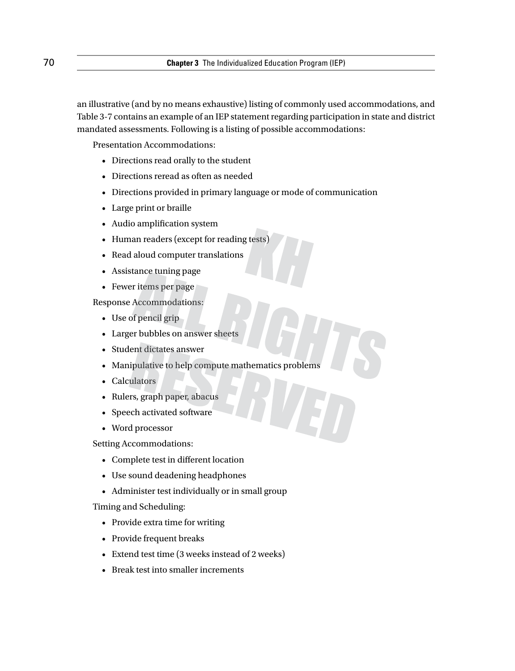an illustrative (and by no means exhaustive) listing of commonly used accommodations, and Table 3-7 contains an example of an IEP statement regarding participation in state and district mandated assessments. Following is a listing of possible accommodations:

Presentation Accommodations:

- Directions read orally to the student
- Directions reread as often as needed
- Directions provided in primary language or mode of communication
- Large print or braille
- Audio amplification system
- Human readers (except for reading tests)
- Read aloud computer translations
- Assistance tuning page
- Fewer items per page

Response Accommodations:

- Use of pencil grip
- Larger bubbles on answer sheets
- Student dictates answer
- Manipulative to help compute mathematics problems
- Calculators
- Rulers, graph paper, abacus
- Speech activated software
- Word processor

Setting Accommodations:

- Complete test in different location
- Use sound deadening headphones
- Administer test individually or in small group

#### Timing and Scheduling:

- Provide extra time for writing
- Provide frequent breaks
- Extend test time (3 weeks instead of 2 weeks)
- Break test into smaller increments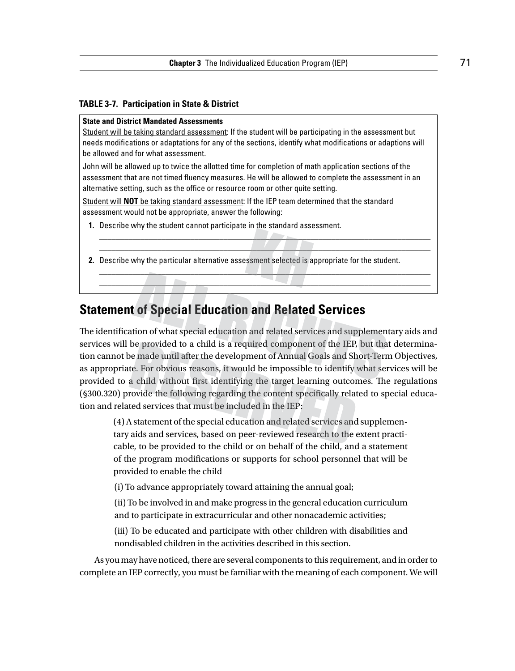#### **Table 3-7. Participation in State & District**

#### **State and District Mandated Assessments**

Student will be taking standard assessment: If the student will be participating in the assessment but needs modifications or adaptations for any of the sections, identify what modifications or adaptions will be allowed and for what assessment.

John will be allowed up to twice the allotted time for completion of math application sections of the assessment that are not timed fluency measures. He will be allowed to complete the assessment in an alternative setting, such as the office or resource room or other quite setting.

\_\_\_\_\_\_\_\_\_\_\_\_\_\_\_\_\_\_\_\_\_\_\_\_\_\_\_\_\_\_\_\_\_\_\_\_\_\_\_\_\_\_\_\_\_\_\_\_\_\_\_\_\_\_\_\_\_\_\_\_\_\_\_\_\_\_\_\_\_\_\_\_\_\_\_\_\_\_\_\_ \_\_\_\_\_\_\_\_\_\_\_\_\_\_\_\_\_\_\_\_\_\_\_\_\_\_\_\_\_\_\_\_\_\_\_\_\_\_\_\_\_\_\_\_\_\_\_\_\_\_\_\_\_\_\_\_\_\_\_\_\_\_\_\_\_\_\_\_\_\_\_\_\_\_\_\_\_\_\_\_

\_\_\_\_\_\_\_\_\_\_\_\_\_\_\_\_\_\_\_\_\_\_\_\_\_\_\_\_\_\_\_\_\_\_\_\_\_\_\_\_\_\_\_\_\_\_\_\_\_\_\_\_\_\_\_\_\_\_\_\_\_\_\_\_\_\_\_\_\_\_\_\_\_\_\_\_\_\_\_\_ \_\_\_\_\_\_\_\_\_\_\_\_\_\_\_\_\_\_\_\_\_\_\_\_\_\_\_\_\_\_\_\_\_\_\_\_\_\_\_\_\_\_\_\_\_\_\_\_\_\_\_\_\_\_\_\_\_\_\_\_\_\_\_\_\_\_\_\_\_\_\_\_\_\_\_\_\_\_\_\_

Student will **NOT** be taking standard assessment: If the IEP team determined that the standard assessment would not be appropriate, answer the following:

**1.** Describe why the student cannot participate in the standard assessment.

**2.** Describe why the particular alternative assessment selected is appropriate for the student.

# **Statement of Special Education and Related Services**

The identification of what special education and related services and supplementary aids and services will be provided to a child is a required component of the IEP, but that determination cannot be made until after the development of Annual Goals and Short-Term Objectives, as appropriate. For obvious reasons, it would be impossible to identify what services will be provided to a child without first identifying the target learning outcomes. The regulations (§300.320) provide the following regarding the content specifically related to special education and related services that must be included in the IEP:

(4) A statement of the special education and related services and supplementary aids and services, based on peer-reviewed research to the extent practicable, to be provided to the child or on behalf of the child, and a statement of the program modifications or supports for school personnel that will be provided to enable the child

(i) To advance appropriately toward attaining the annual goal;

(ii) To be involved in and make progress in the general education curriculum and to participate in extracurricular and other nonacademic activities;

(iii) To be educated and participate with other children with disabilities and nondisabled children in the activities described in this section.

As you may have noticed, there are several components to this requirement, and in order to complete an IEP correctly, you must be familiar with the meaning of each component. We will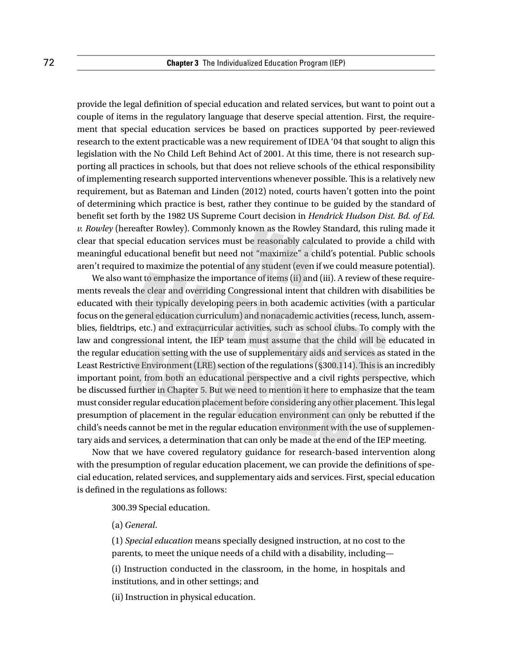provide the legal definition of special education and related services, but want to point out a couple of items in the regulatory language that deserve special attention. First, the requirement that special education services be based on practices supported by peer-reviewed research to the extent practicable was a new requirement of IDEA '04 that sought to align this legislation with the No Child Left Behind Act of 2001. At this time, there is not research supporting all practices in schools, but that does not relieve schools of the ethical responsibility of implementing research supported interventions whenever possible. This is a relatively new requirement, but as Bateman and Linden (2012) noted, courts haven't gotten into the point of determining which practice is best, rather they continue to be guided by the standard of benefit set forth by the 1982 US Supreme Court decision in *Hendrick Hudson Dist. Bd. of Ed. v. Rowley* (hereafter Rowley). Commonly known as the Rowley Standard, this ruling made it clear that special education services must be reasonably calculated to provide a child with meaningful educational benefit but need not "maximize" a child's potential. Public schools aren't required to maximize the potential of any student (even if we could measure potential).

We also want to emphasize the importance of items (ii) and (iii). A review of these requirements reveals the clear and overriding Congressional intent that children with disabilities be educated with their typically developing peers in both academic activities (with a particular focus on the general education curriculum) and nonacademic activities (recess, lunch, assemblies, fieldtrips, etc.) and extracurricular activities, such as school clubs. To comply with the law and congressional intent, the IEP team must assume that the child will be educated in the regular education setting with the use of supplementary aids and services as stated in the Least Restrictive Environment (LRE) section of the regulations (§300.114). This is an incredibly important point, from both an educational perspective and a civil rights perspective, which be discussed further in Chapter 5. But we need to mention it here to emphasize that the team must consider regular education placement before considering any other placement. This legal presumption of placement in the regular education environment can only be rebutted if the child's needs cannot be met in the regular education environment with the use of supplementary aids and services, a determination that can only be made at the end of the IEP meeting.

Now that we have covered regulatory guidance for research-based intervention along with the presumption of regular education placement, we can provide the definitions of special education, related services, and supplementary aids and services. First, special education is defined in the regulations as follows:

300.39 Special education.

(a) *General*.

(1) *Special education* means specially designed instruction, at no cost to the parents, to meet the unique needs of a child with a disability, including—

(i) Instruction conducted in the classroom, in the home, in hospitals and institutions, and in other settings; and

(ii) Instruction in physical education.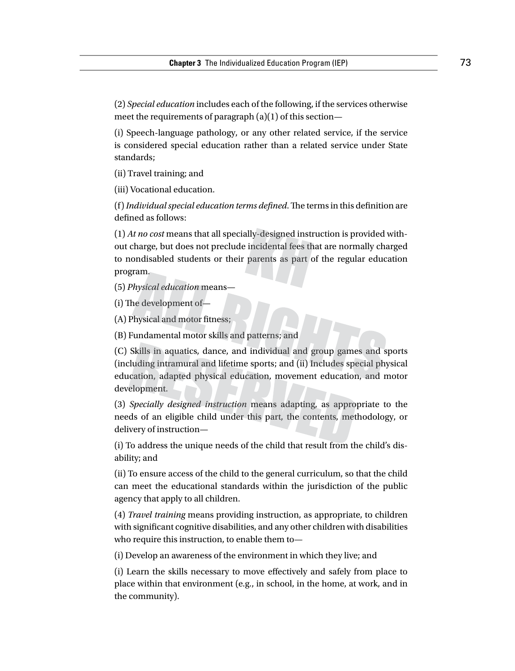(2) *Special education* includes each of the following, if the services otherwise meet the requirements of paragraph (a)(1) of this section—

(i) Speech-language pathology, or any other related service, if the service is considered special education rather than a related service under State standards;

(ii) Travel training; and

(iii) Vocational education.

(f) *Individual special education terms defined*. The terms in this definition are defined as follows:

(1) *At no cost* means that all specially-designed instruction is provided without charge, but does not preclude incidental fees that are normally charged to nondisabled students or their parents as part of the regular education program.

(5) *Physical education* means—

(i) The development of—

(A) Physical and motor fitness;

(B) Fundamental motor skills and patterns; and

(C) Skills in aquatics, dance, and individual and group games and sports (including intramural and lifetime sports; and (ii) Includes special physical education, adapted physical education, movement education, and motor development.

(3) *Specially designed instruction* means adapting, as appropriate to the needs of an eligible child under this part, the contents, methodology, or delivery of instruction—

(i) To address the unique needs of the child that result from the child's disability; and

(ii) To ensure access of the child to the general curriculum, so that the child can meet the educational standards within the jurisdiction of the public agency that apply to all children.

(4) *Travel training* means providing instruction, as appropriate, to children with significant cognitive disabilities, and any other children with disabilities who require this instruction, to enable them to—

(i) Develop an awareness of the environment in which they live; and

(i) Learn the skills necessary to move effectively and safely from place to place within that environment (e.g., in school, in the home, at work, and in the community).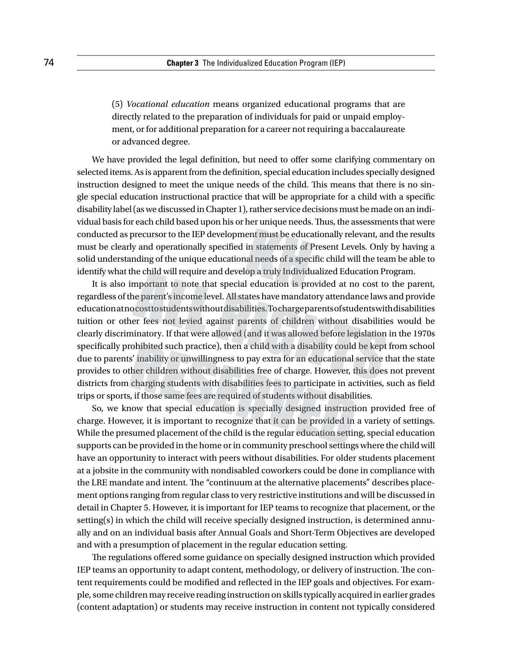(5) *Vocational education* means organized educational programs that are directly related to the preparation of individuals for paid or unpaid employment, or for additional preparation for a career not requiring a baccalaureate or advanced degree.

We have provided the legal definition, but need to offer some clarifying commentary on selected items. As is apparent from the definition, special education includes specially designed instruction designed to meet the unique needs of the child. This means that there is no single special education instructional practice that will be appropriate for a child with a specific disability label (as we discussed in Chapter 1), rather service decisions must be made on an individual basis for each child based upon his or her unique needs. Thus, the assessments that were conducted as precursor to the IEP development must be educationally relevant, and the results must be clearly and operationally specified in statements of Present Levels. Only by having a solid understanding of the unique educational needs of a specific child will the team be able to identify what the child will require and develop a truly Individualized Education Program.

It is also important to note that special education is provided at no cost to the parent, regardless of the parent's income level. All states have mandatory attendance laws and provide education at no cost to students without disabilities. To charge parents of students with disabilities tuition or other fees not levied against parents of children without disabilities would be clearly discriminatory. If that were allowed (and it was allowed before legislation in the 1970s specifically prohibited such practice), then a child with a disability could be kept from school due to parents' inability or unwillingness to pay extra for an educational service that the state provides to other children without disabilities free of charge. However, this does not prevent districts from charging students with disabilities fees to participate in activities, such as field trips or sports, if those same fees are required of students without disabilities.

So, we know that special education is specially designed instruction provided free of charge. However, it is important to recognize that it can be provided in a variety of settings. While the presumed placement of the child is the regular education setting, special education supports can be provided in the home or in community preschool settings where the child will have an opportunity to interact with peers without disabilities. For older students placement at a jobsite in the community with nondisabled coworkers could be done in compliance with the LRE mandate and intent. The "continuum at the alternative placements" describes placement options ranging from regular class to very restrictive institutions and will be discussed in detail in Chapter 5. However, it is important for IEP teams to recognize that placement, or the setting(s) in which the child will receive specially designed instruction, is determined annually and on an individual basis after Annual Goals and Short-Term Objectives are developed and with a presumption of placement in the regular education setting.

The regulations offered some guidance on specially designed instruction which provided IEP teams an opportunity to adapt content, methodology, or delivery of instruction. The content requirements could be modified and reflected in the IEP goals and objectives. For example, some children may receive reading instruction on skills typically acquired in earlier grades (content adaptation) or students may receive instruction in content not typically considered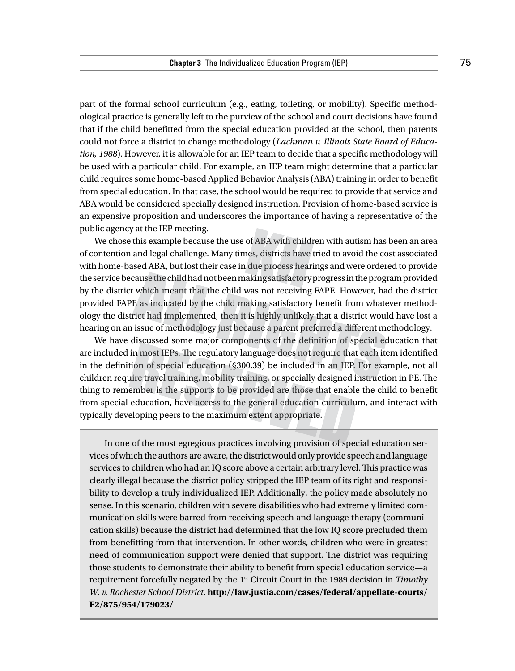part of the formal school curriculum (e.g., eating, toileting, or mobility). Specific methodological practice is generally left to the purview of the school and court decisions have found that if the child benefitted from the special education provided at the school, then parents could not force a district to change methodology (*Lachman v. Illinois State Board of Education, 1988*). However, it is allowable for an IEP team to decide that a specific methodology will be used with a particular child. For example, an IEP team might determine that a particular child requires some home-based Applied Behavior Analysis (ABA) training in order to benefit from special education. In that case, the school would be required to provide that service and ABA would be considered specially designed instruction. Provision of home-based service is an expensive proposition and underscores the importance of having a representative of the public agency at the IEP meeting.

We chose this example because the use of ABA with children with autism has been an area of contention and legal challenge. Many times, districts have tried to avoid the cost associated with home-based ABA, but lost their case in due process hearings and were ordered to provide the service because the child had not been making satisfactory progress in the program provided by the district which meant that the child was not receiving FAPE. However, had the district provided FAPE as indicated by the child making satisfactory benefit from whatever methodology the district had implemented, then it is highly unlikely that a district would have lost a hearing on an issue of methodology just because a parent preferred a different methodology.

We have discussed some major components of the definition of special education that are included in most IEPs. The regulatory language does not require that each item identified in the definition of special education (§300.39) be included in an IEP. For example, not all children require travel training, mobility training, or specially designed instruction in PE. The thing to remember is the supports to be provided are those that enable the child to benefit from special education, have access to the general education curriculum, and interact with typically developing peers to the maximum extent appropriate.

In one of the most egregious practices involving provision of special education services of which the authors are aware, the district would only provide speech and language services to children who had an IQ score above a certain arbitrary level. This practice was clearly illegal because the district policy stripped the IEP team of its right and responsibility to develop a truly individualized IEP. Additionally, the policy made absolutely no sense. In this scenario, children with severe disabilities who had extremely limited communication skills were barred from receiving speech and language therapy (communication skills) because the district had determined that the low IQ score precluded them from benefitting from that intervention. In other words, children who were in greatest need of communication support were denied that support. The district was requiring those students to demonstrate their ability to benefit from special education service—a requirement forcefully negated by the 1st Circuit Court in the 1989 decision in *Timothy W. v. Rochester School District*. **http://law.justia.com/cases/federal/appellate-courts/ F2/875/954/179023/**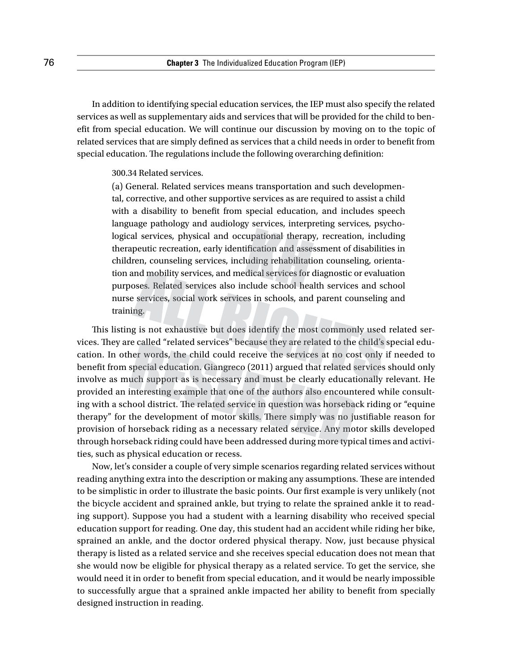In addition to identifying special education services, the IEP must also specify the related services as well as supplementary aids and services that will be provided for the child to benefit from special education. We will continue our discussion by moving on to the topic of related services that are simply defined as services that a child needs in order to benefit from special education. The regulations include the following overarching definition:

#### 300.34 Related services.

(a) General. Related services means transportation and such developmental, corrective, and other supportive services as are required to assist a child with a disability to benefit from special education, and includes speech language pathology and audiology services, interpreting services, psychological services, physical and occupational therapy, recreation, including therapeutic recreation, early identification and assessment of disabilities in children, counseling services, including rehabilitation counseling, orientation and mobility services, and medical services for diagnostic or evaluation purposes. Related services also include school health services and school nurse services, social work services in schools, and parent counseling and training.

This listing is not exhaustive but does identify the most commonly used related services. They are called "related services" because they are related to the child's special education. In other words, the child could receive the services at no cost only if needed to benefit from special education. Giangreco (2011) argued that related services should only involve as much support as is necessary and must be clearly educationally relevant. He provided an interesting example that one of the authors also encountered while consulting with a school district. The related service in question was horseback riding or "equine therapy" for the development of motor skills. There simply was no justifiable reason for provision of horseback riding as a necessary related service. Any motor skills developed through horseback riding could have been addressed during more typical times and activities, such as physical education or recess.

Now, let's consider a couple of very simple scenarios regarding related services without reading anything extra into the description or making any assumptions. These are intended to be simplistic in order to illustrate the basic points. Our first example is very unlikely (not the bicycle accident and sprained ankle, but trying to relate the sprained ankle it to reading support). Suppose you had a student with a learning disability who received special education support for reading. One day, this student had an accident while riding her bike, sprained an ankle, and the doctor ordered physical therapy. Now, just because physical therapy is listed as a related service and she receives special education does not mean that she would now be eligible for physical therapy as a related service. To get the service, she would need it in order to benefit from special education, and it would be nearly impossible to successfully argue that a sprained ankle impacted her ability to benefit from specially designed instruction in reading.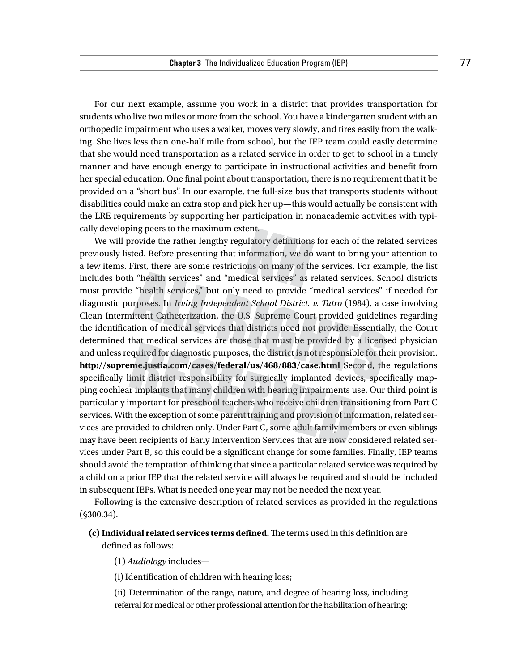For our next example, assume you work in a district that provides transportation for students who live two miles or more from the school. You have a kindergarten student with an orthopedic impairment who uses a walker, moves very slowly, and tires easily from the walking. She lives less than one-half mile from school, but the IEP team could easily determine that she would need transportation as a related service in order to get to school in a timely manner and have enough energy to participate in instructional activities and benefit from her special education. One final point about transportation, there is no requirement that it be provided on a "short bus". In our example, the full-size bus that transports students without disabilities could make an extra stop and pick her up—this would actually be consistent with the LRE requirements by supporting her participation in nonacademic activities with typically developing peers to the maximum extent.

We will provide the rather lengthy regulatory definitions for each of the related services previously listed. Before presenting that information, we do want to bring your attention to a few items. First, there are some restrictions on many of the services. For example, the list includes both "health services" and "medical services" as related services. School districts must provide "health services," but only need to provide "medical services" if needed for diagnostic purposes. In *Irving Independent School District. v. Tatro* (1984), a case involving Clean Intermittent Catheterization, the U.S. Supreme Court provided guidelines regarding the identification of medical services that districts need not provide. Essentially, the Court determined that medical services are those that must be provided by a licensed physician and unless required for diagnostic purposes, the district is not responsible for their provision. **http://supreme.justia.com/cases/federal/us/468/883/case.html** Second, the regulations specifically limit district responsibility for surgically implanted devices, specifically mapping cochlear implants that many children with hearing impairments use. Our third point is particularly important for preschool teachers who receive children transitioning from Part C services. With the exception of some parent training and provision of information, related services are provided to children only. Under Part C, some adult family members or even siblings may have been recipients of Early Intervention Services that are now considered related services under Part B, so this could be a significant change for some families. Finally, IEP teams should avoid the temptation of thinking that since a particular related service was required by a child on a prior IEP that the related service will always be required and should be included in subsequent IEPs. What is needed one year may not be needed the next year.

Following is the extensive description of related services as provided in the regulations (§300.34).

**(c) Individual related services terms defined.** The terms used in this definition are defined as follows:

(1) *Audiology* includes—

(i) Identification of children with hearing loss;

(ii) Determination of the range, nature, and degree of hearing loss, including referral for medical or other professional attention for the habilitation of hearing;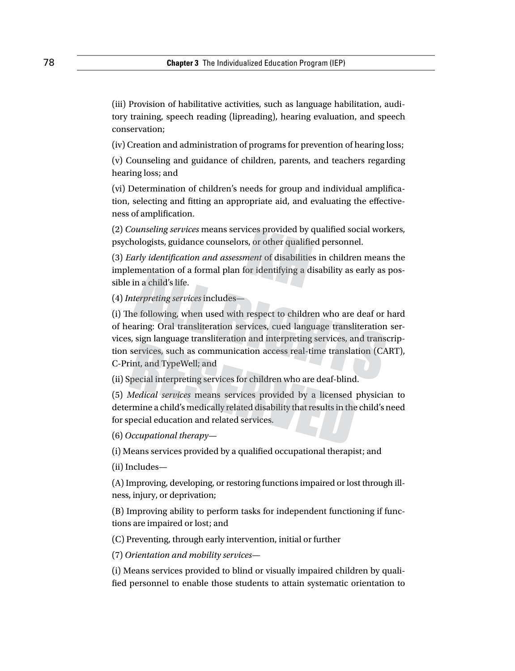(iii) Provision of habilitative activities, such as language habilitation, auditory training, speech reading (lipreading), hearing evaluation, and speech conservation;

(iv) Creation and administration of programs for prevention of hearing loss;

(v) Counseling and guidance of children, parents, and teachers regarding hearing loss; and

(vi) Determination of children's needs for group and individual amplification, selecting and fitting an appropriate aid, and evaluating the effectiveness of amplification.

(2) *Counseling services* means services provided by qualified social workers, psychologists, guidance counselors, or other qualified personnel.

(3) *Early identification and assessment* of disabilities in children means the implementation of a formal plan for identifying a disability as early as possible in a child's life.

(4) *Interpreting services* includes—

(i) The following, when used with respect to children who are deaf or hard of hearing: Oral transliteration services, cued language transliteration services, sign language transliteration and interpreting services, and transcription services, such as communication access real-time translation (CART), C-Print, and TypeWell; and

(ii) Special interpreting services for children who are deaf-blind.

(5) *Medical services* means services provided by a licensed physician to determine a child's medically related disability that results in the child's need for special education and related services.

(6) *Occupational therapy*—

(i) Means services provided by a qualified occupational therapist; and

(ii) Includes—

(A) Improving, developing, or restoring functions impaired or lost through illness, injury, or deprivation;

(B) Improving ability to perform tasks for independent functioning if functions are impaired or lost; and

(C) Preventing, through early intervention, initial or further

(7) *Orientation and mobility services*—

(i) Means services provided to blind or visually impaired children by qualified personnel to enable those students to attain systematic orientation to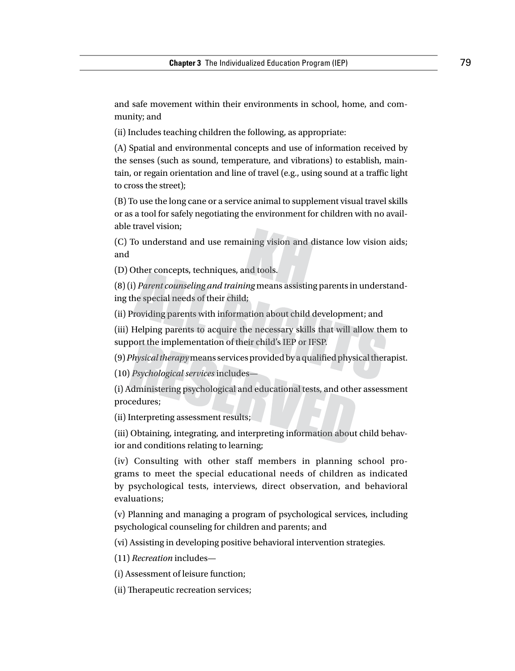and safe movement within their environments in school, home, and community; and

(ii) Includes teaching children the following, as appropriate:

(A) Spatial and environmental concepts and use of information received by the senses (such as sound, temperature, and vibrations) to establish, maintain, or regain orientation and line of travel (e.g., using sound at a traffic light to cross the street);

(B) To use the long cane or a service animal to supplement visual travel skills or as a tool for safely negotiating the environment for children with no available travel vision;

(C) To understand and use remaining vision and distance low vision aids; and

(D) Other concepts, techniques, and tools.

(8) (i) *Parent counseling and training* means assisting parents in understanding the special needs of their child;

(ii) Providing parents with information about child development; and

(iii) Helping parents to acquire the necessary skills that will allow them to support the implementation of their child's IEP or IFSP.

(9) *Physical therapy* means services provided by a qualified physical therapist.

(10) *Psychological services* includes—

(i) Administering psychological and educational tests, and other assessment procedures;

(ii) Interpreting assessment results;

(iii) Obtaining, integrating, and interpreting information about child behavior and conditions relating to learning;

(iv) Consulting with other staff members in planning school programs to meet the special educational needs of children as indicated by psychological tests, interviews, direct observation, and behavioral evaluations;

(v) Planning and managing a program of psychological services, including psychological counseling for children and parents; and

(vi) Assisting in developing positive behavioral intervention strategies.

(11) *Recreation* includes—

(i) Assessment of leisure function;

(ii) Therapeutic recreation services;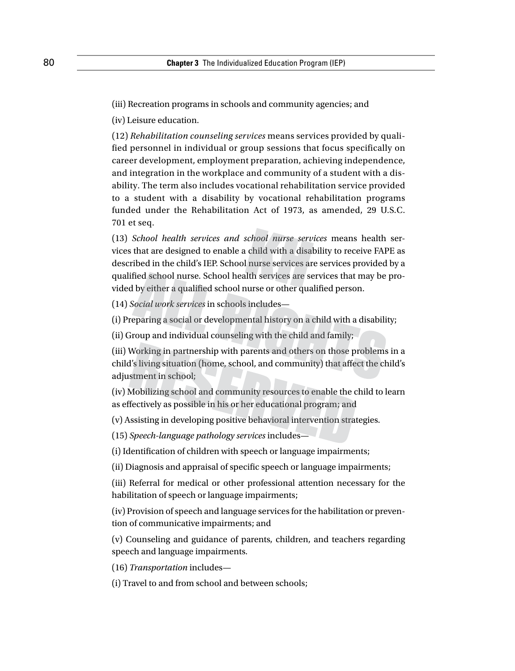(iii) Recreation programs in schools and community agencies; and

(iv) Leisure education.

(12) *Rehabilitation counseling services* means services provided by qualified personnel in individual or group sessions that focus specifically on career development, employment preparation, achieving independence, and integration in the workplace and community of a student with a disability. The term also includes vocational rehabilitation service provided to a student with a disability by vocational rehabilitation programs funded under the Rehabilitation Act of 1973, as amended, 29 U.S.C. 701 et seq.

(13) *School health services and school nurse services* means health services that are designed to enable a child with a disability to receive FAPE as described in the child's IEP. School nurse services are services provided by a qualified school nurse. School health services are services that may be provided by either a qualified school nurse or other qualified person.

(14) *Social work services* in schools includes—

(i) Preparing a social or developmental history on a child with a disability;

(ii) Group and individual counseling with the child and family;

(iii) Working in partnership with parents and others on those problems in a child's living situation (home, school, and community) that affect the child's adjustment in school;

(iv) Mobilizing school and community resources to enable the child to learn as effectively as possible in his or her educational program; and

(v) Assisting in developing positive behavioral intervention strategies.

(15) *Speech-language pathology services* includes—

(i) Identification of children with speech or language impairments;

(ii) Diagnosis and appraisal of specific speech or language impairments;

(iii) Referral for medical or other professional attention necessary for the habilitation of speech or language impairments;

(iv) Provision of speech and language services for the habilitation or prevention of communicative impairments; and

(v) Counseling and guidance of parents, children, and teachers regarding speech and language impairments.

(16) *Transportation* includes—

(i) Travel to and from school and between schools;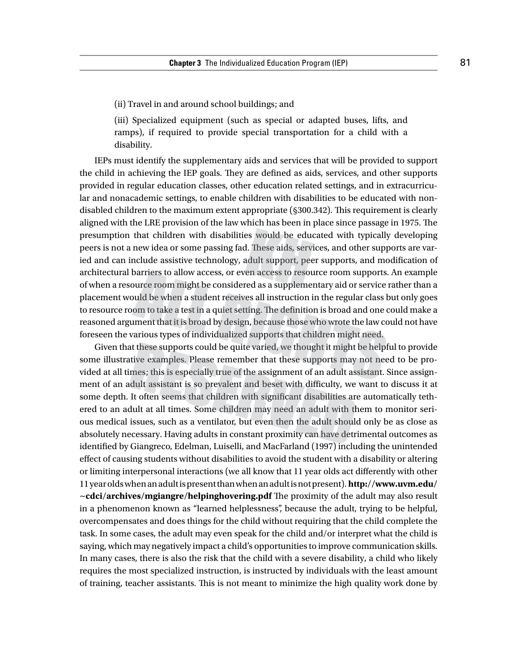(ii) Travel in and around school buildings; and

(iii) Specialized equipment (such as special or adapted buses, lifts, and ramps), if required to provide special transportation for a child with a disability.

IEPs must identify the supplementary aids and services that will be provided to support the child in achieving the IEP goals. They are defined as aids, services, and other supports provided in regular education classes, other education related settings, and in extracurricular and nonacademic settings, to enable children with disabilities to be educated with nondisabled children to the maximum extent appropriate (§300.342). This requirement is clearly aligned with the LRE provision of the law which has been in place since passage in 1975. The presumption that children with disabilities would be educated with typically developing peers is not a new idea or some passing fad. These aids, services, and other supports are varied and can include assistive technology, adult support, peer supports, and modification of architectural barriers to allow access, or even access to resource room supports. An example of when a resource room might be considered as a supplementary aid or service rather than a placement would be when a student receives all instruction in the regular class but only goes to resource room to take a test in a quiet setting. The definition is broad and one could make a reasoned argument that it is broad by design, because those who wrote the law could not have foreseen the various types of individualized supports that children might need.

Given that these supports could be quite varied, we thought it might be helpful to provide some illustrative examples. Please remember that these supports may not need to be provided at all times; this is especially true of the assignment of an adult assistant. Since assignment of an adult assistant is so prevalent and beset with difficulty, we want to discuss it at some depth. It often seems that children with significant disabilities are automatically tethered to an adult at all times. Some children may need an adult with them to monitor serious medical issues, such as a ventilator, but even then the adult should only be as close as absolutely necessary. Having adults in constant proximity can have detrimental outcomes as identified by Giangreco, Edelman, Luiselli, and MacFarland (1997) including the unintended effect of causing students without disabilities to avoid the student with a disability or altering or limiting interpersonal interactions (we all know that 11 year olds act differently with other 11 year olds when an adult is present than when an adult is not present). **http://www.uvm.edu/ ~cdci/archives/mgiangre/helpinghovering.pdf** The proximity of the adult may also result in a phenomenon known as "learned helplessness", because the adult, trying to be helpful, overcompensates and does things for the child without requiring that the child complete the task. In some cases, the adult may even speak for the child and/or interpret what the child is saying, which may negatively impact a child's opportunities to improve communication skills. In many cases, there is also the risk that the child with a severe disability, a child who likely requires the most specialized instruction, is instructed by individuals with the least amount of training, teacher assistants. This is not meant to minimize the high quality work done by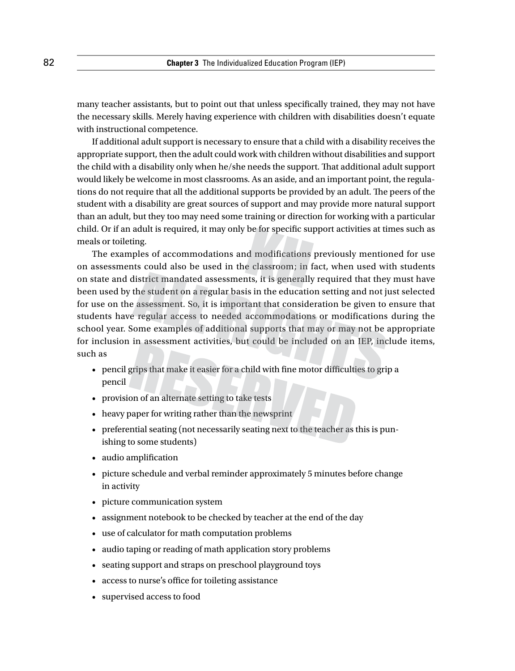many teacher assistants, but to point out that unless specifically trained, they may not have the necessary skills. Merely having experience with children with disabilities doesn't equate with instructional competence.

If additional adult support is necessary to ensure that a child with a disability receives the appropriate support, then the adult could work with children without disabilities and support the child with a disability only when he/she needs the support. That additional adult support would likely be welcome in most classrooms. As an aside, and an important point, the regulations do not require that all the additional supports be provided by an adult. The peers of the student with a disability are great sources of support and may provide more natural support than an adult, but they too may need some training or direction for working with a particular child. Or if an adult is required, it may only be for specific support activities at times such as meals or toileting.

The examples of accommodations and modifications previously mentioned for use on assessments could also be used in the classroom; in fact, when used with students on state and district mandated assessments, it is generally required that they must have been used by the student on a regular basis in the education setting and not just selected for use on the assessment. So, it is important that consideration be given to ensure that students have regular access to needed accommodations or modifications during the school year. Some examples of additional supports that may or may not be appropriate for inclusion in assessment activities, but could be included on an IEP, include items, such as

- pencil grips that make it easier for a child with fine motor difficulties to grip a pencil
- provision of an alternate setting to take tests
- heavy paper for writing rather than the newsprint
- preferential seating (not necessarily seating next to the teacher as this is punishing to some students)
- audio amplification
- picture schedule and verbal reminder approximately 5 minutes before change in activity
- picture communication system
- assignment notebook to be checked by teacher at the end of the day
- use of calculator for math computation problems
- audio taping or reading of math application story problems
- seating support and straps on preschool playground toys
- access to nurse's office for toileting assistance
- supervised access to food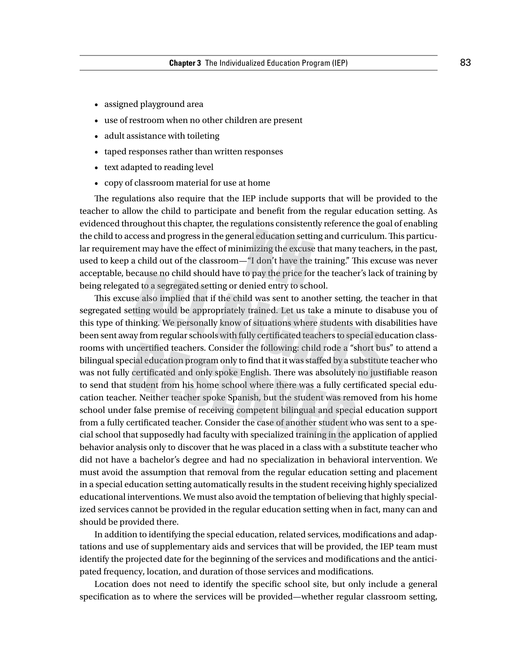- assigned playground area
- use of restroom when no other children are present
- adult assistance with toileting
- taped responses rather than written responses
- text adapted to reading level
- copy of classroom material for use at home

The regulations also require that the IEP include supports that will be provided to the teacher to allow the child to participate and benefit from the regular education setting. As evidenced throughout this chapter, the regulations consistently reference the goal of enabling the child to access and progress in the general education setting and curriculum. This particular requirement may have the effect of minimizing the excuse that many teachers, in the past, used to keep a child out of the classroom—"I don't have the training." This excuse was never acceptable, because no child should have to pay the price for the teacher's lack of training by being relegated to a segregated setting or denied entry to school.

This excuse also implied that if the child was sent to another setting, the teacher in that segregated setting would be appropriately trained. Let us take a minute to disabuse you of this type of thinking. We personally know of situations where students with disabilities have been sent away from regular schools with fully certificated teachers to special education classrooms with uncertified teachers. Consider the following: child rode a "short bus" to attend a bilingual special education program only to find that it was staffed by a substitute teacher who was not fully certificated and only spoke English. There was absolutely no justifiable reason to send that student from his home school where there was a fully certificated special education teacher. Neither teacher spoke Spanish, but the student was removed from his home school under false premise of receiving competent bilingual and special education support from a fully certificated teacher. Consider the case of another student who was sent to a special school that supposedly had faculty with specialized training in the application of applied behavior analysis only to discover that he was placed in a class with a substitute teacher who did not have a bachelor's degree and had no specialization in behavioral intervention. We must avoid the assumption that removal from the regular education setting and placement in a special education setting automatically results in the student receiving highly specialized educational interventions. We must also avoid the temptation of believing that highly specialized services cannot be provided in the regular education setting when in fact, many can and should be provided there.

In addition to identifying the special education, related services, modifications and adaptations and use of supplementary aids and services that will be provided, the IEP team must identify the projected date for the beginning of the services and modifications and the anticipated frequency, location, and duration of those services and modifications.

Location does not need to identify the specific school site, but only include a general specification as to where the services will be provided—whether regular classroom setting,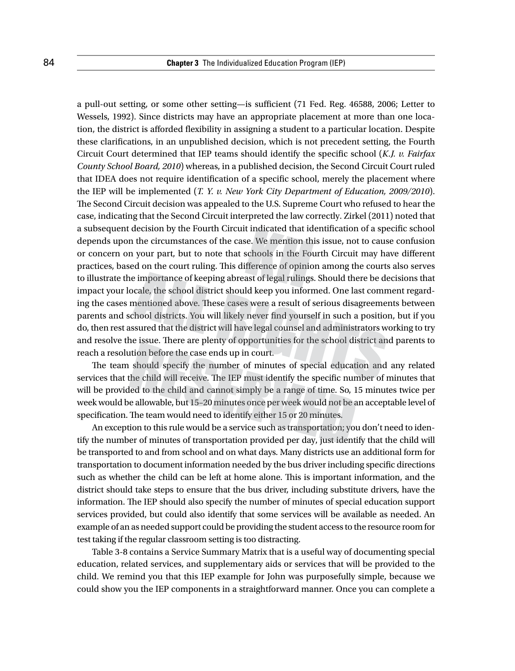a pull-out setting, or some other setting—is sufficient (71 Fed. Reg. 46588, 2006; Letter to Wessels, 1992). Since districts may have an appropriate placement at more than one location, the district is afforded flexibility in assigning a student to a particular location. Despite these clarifications, in an unpublished decision, which is not precedent setting, the Fourth Circuit Court determined that IEP teams should identify the specific school (*K.J. v. Fairfax County School Board, 2010*) whereas, in a published decision, the Second Circuit Court ruled that IDEA does not require identification of a specific school, merely the placement where the IEP will be implemented (*T. Y. v. New York City Department of Education, 2009/2010*). The Second Circuit decision was appealed to the U.S. Supreme Court who refused to hear the case, indicating that the Second Circuit interpreted the law correctly. Zirkel (2011) noted that a subsequent decision by the Fourth Circuit indicated that identification of a specific school depends upon the circumstances of the case. We mention this issue, not to cause confusion or concern on your part, but to note that schools in the Fourth Circuit may have different practices, based on the court ruling. This difference of opinion among the courts also serves to illustrate the importance of keeping abreast of legal rulings. Should there be decisions that impact your locale, the school district should keep you informed. One last comment regarding the cases mentioned above. These cases were a result of serious disagreements between parents and school districts. You will likely never find yourself in such a position, but if you do, then rest assured that the district will have legal counsel and administrators working to try and resolve the issue. There are plenty of opportunities for the school district and parents to reach a resolution before the case ends up in court.

The team should specify the number of minutes of special education and any related services that the child will receive. The IEP must identify the specific number of minutes that will be provided to the child and cannot simply be a range of time. So, 15 minutes twice per week would be allowable, but 15–20 minutes once per week would not be an acceptable level of specification. The team would need to identify either 15 or 20 minutes.

An exception to this rule would be a service such as transportation; you don't need to identify the number of minutes of transportation provided per day, just identify that the child will be transported to and from school and on what days. Many districts use an additional form for transportation to document information needed by the bus driver including specific directions such as whether the child can be left at home alone. This is important information, and the district should take steps to ensure that the bus driver, including substitute drivers, have the information. The IEP should also specify the number of minutes of special education support services provided, but could also identify that some services will be available as needed. An example of an as needed support could be providing the student access to the resource room for test taking if the regular classroom setting is too distracting.

Table 3-8 contains a Service Summary Matrix that is a useful way of documenting special education, related services, and supplementary aids or services that will be provided to the child. We remind you that this IEP example for John was purposefully simple, because we could show you the IEP components in a straightforward manner. Once you can complete a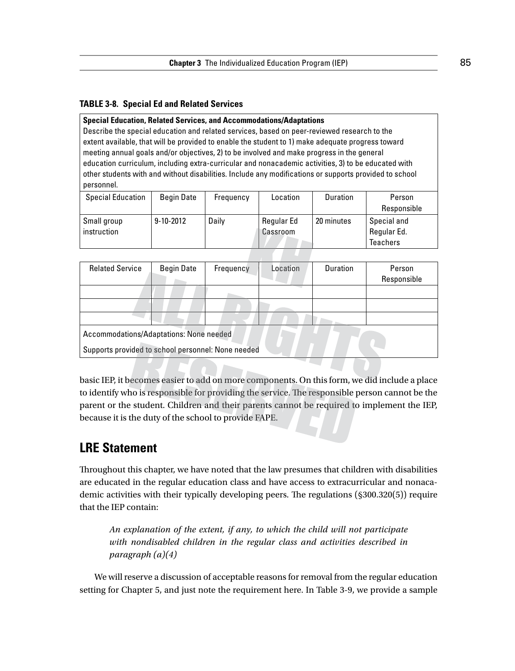#### **Table 3-8. Special Ed and Related Services**

#### **Special Education, Related Services, and Accommodations/Adaptations**

Describe the special education and related services, based on peer-reviewed research to the extent available, that will be provided to enable the student to 1) make adequate progress toward meeting annual goals and/or objectives, 2) to be involved and make progress in the general education curriculum, including extra-curricular and nonacademic activities, 3) to be educated with other students with and without disabilities. Include any modifications or supports provided to school personnel.

| <b>Special Education</b> | <b>Begin Date</b> | Frequency | Location   | Duration   | Person          |
|--------------------------|-------------------|-----------|------------|------------|-----------------|
|                          |                   |           |            |            | Responsible     |
| Small group              | $9 - 10 - 2012$   | Daily     | Regular Ed | 20 minutes | Special and     |
| instruction              |                   |           | Cassroom   |            | Regular Ed.     |
|                          |                   |           |            |            | <b>Teachers</b> |

| <b>Related Service</b>                             | <b>Begin Date</b> | Frequency | Location | Duration | Person<br>Responsible |
|----------------------------------------------------|-------------------|-----------|----------|----------|-----------------------|
|                                                    |                   |           |          |          |                       |
|                                                    |                   |           |          |          |                       |
|                                                    |                   |           |          |          |                       |
| Accommodations/Adaptations: None needed            |                   |           |          |          |                       |
| Supports provided to school personnel: None needed |                   |           |          |          |                       |

basic IEP, it becomes easier to add on more components. On this form, we did include a place to identify who is responsible for providing the service. The responsible person cannot be the parent or the student. Children and their parents cannot be required to implement the IEP, because it is the duty of the school to provide FAPE.

# **LRE Statement**

Throughout this chapter, we have noted that the law presumes that children with disabilities are educated in the regular education class and have access to extracurricular and nonacademic activities with their typically developing peers. The regulations (§300.320(5)) require that the IEP contain:

*An explanation of the extent, if any, to which the child will not participate with nondisabled children in the regular class and activities described in paragraph (a)(4)*

We will reserve a discussion of acceptable reasons for removal from the regular education setting for Chapter 5, and just note the requirement here. In Table 3-9, we provide a sample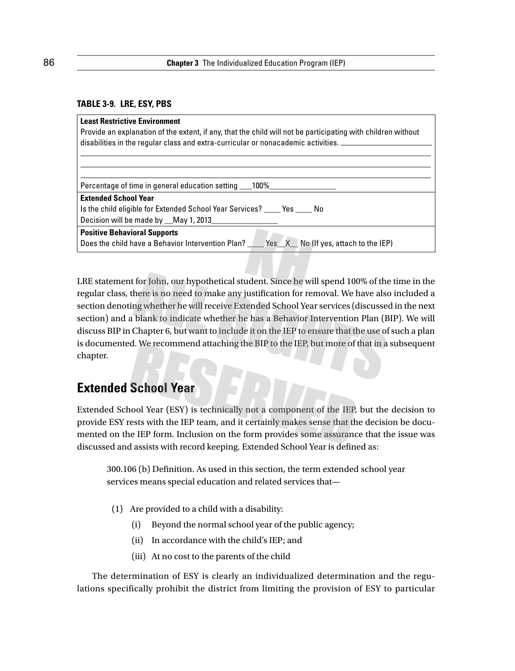#### **Table 3-9. LRE, ESY, PBS**

| <b>Least Restrictive Environment</b><br>Provide an explanation of the extent, if any, that the child will not be participating with children without<br>disabilities in the regular class and extra-curricular or nonacademic activities. $\equiv$ |
|----------------------------------------------------------------------------------------------------------------------------------------------------------------------------------------------------------------------------------------------------|
| Percentage of time in general education setting ____100%______                                                                                                                                                                                     |
| <b>Extended School Year</b><br>Is the child eligible for Extended School Year Services? _____ Yes _____ No<br>Decision will be made by __May 1, 2013_                                                                                              |
| <b>Positive Behavioral Supports</b><br>Does the child have a Behavior Intervention Plan? Nes X No (If yes, attach to the IEP)                                                                                                                      |

LRE statement for John, our hypothetical student. Since he will spend 100% of the time in the regular class, there is no need to make any justification for removal. We have also included a section denoting whether he will receive Extended School Year services (discussed in the next section) and a blank to indicate whether he has a Behavior Intervention Plan (BIP). We will discuss BIP in Chapter 6, but want to include it on the IEP to ensure that the use of such a plan is documented. We recommend attaching the BIP to the IEP, but more of that in a subsequent chapter.

# **Extended School Year**

Extended School Year (ESY) is technically not a component of the IEP, but the decision to provide ESY rests with the IEP team, and it certainly makes sense that the decision be documented on the IEP form. Inclusion on the form provides some assurance that the issue was discussed and assists with record keeping. Extended School Year is defined as:

300.106 (b) Definition. As used in this section, the term extended school year services means special education and related services that—

- (1) Are provided to a child with a disability:
	- (i) Beyond the normal school year of the public agency;
	- (ii) In accordance with the child's IEP; and
	- (iii) At no cost to the parents of the child

The determination of ESY is clearly an individualized determination and the regulations specifically prohibit the district from limiting the provision of ESY to particular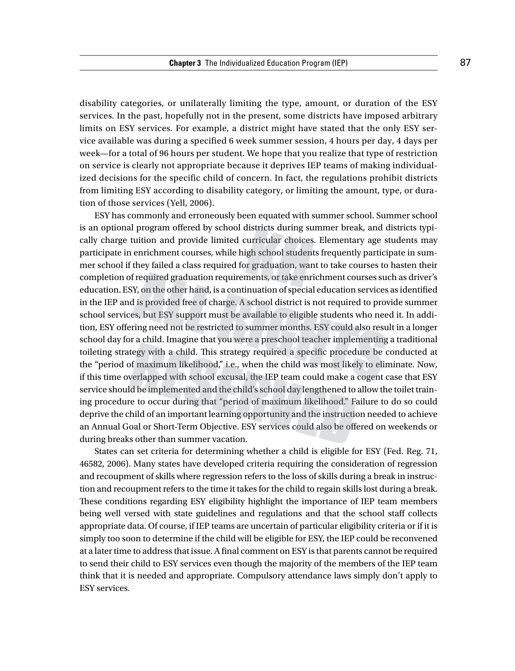disability categories, or unilaterally limiting the type, amount, or duration of the ESY services. In the past, hopefully not in the present, some districts have imposed arbitrary limits on ESY services. For example, a district might have stated that the only ESY service available was during a specified 6 week summer session, 4 hours per day, 4 days per week—for a total of 96 hours per student. We hope that you realize that type of restriction on service is clearly not appropriate because it deprives IEP teams of making individualized decisions for the specific child of concern. In fact, the regulations prohibit districts from limiting ESY according to disability category, or limiting the amount, type, or duration of those services (Yell, 2006).

ESY has commonly and erroneously been equated with summer school. Summer school is an optional program offered by school districts during summer break, and districts typically charge tuition and provide limited curricular choices. Elementary age students may participate in enrichment courses, while high school students frequently participate in summer school if they failed a class required for graduation, want to take courses to hasten their completion of required graduation requirements, or take enrichment courses such as driver's education. ESY, on the other hand, is a continuation of special education services as identified in the IEP and is provided free of charge. A school district is not required to provide summer school services, but ESY support must be available to eligible students who need it. In addition, ESY offering need not be restricted to summer months. ESY could also result in a longer school day for a child. Imagine that you were a preschool teacher implementing a traditional toileting strategy with a child. This strategy required a specific procedure be conducted at the "period of maximum likelihood," i.e., when the child was most likely to eliminate. Now, if this time overlapped with school excusal, the IEP team could make a cogent case that ESY service should be implemented and the child's school day lengthened to allow the toilet training procedure to occur during that "period of maximum likelihood." Failure to do so could deprive the child of an important learning opportunity and the instruction needed to achieve an Annual Goal or Short-Term Objective. ESY services could also be offered on weekends or during breaks other than summer vacation.

States can set criteria for determining whether a child is eligible for ESY (Fed. Reg. 71, 46582, 2006). Many states have developed criteria requiring the consideration of regression and recoupment of skills where regression refers to the loss of skills during a break in instruction and recoupment refers to the time it takes for the child to regain skills lost during a break. These conditions regarding ESY eligibility highlight the importance of IEP team members being well versed with state guidelines and regulations and that the school staff collects appropriate data. Of course, if IEP teams are uncertain of particular eligibility criteria or if it is simply too soon to determine if the child will be eligible for ESY, the IEP could be reconvened at a later time to address that issue. A final comment on ESY is that parents cannot be required to send their child to ESY services even though the majority of the members of the IEP team think that it is needed and appropriate. Compulsory attendance laws simply don't apply to ESY services.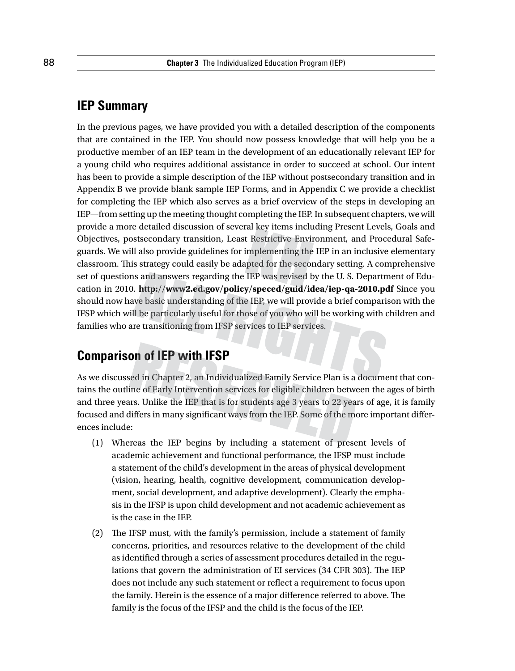# **IEP Summary**

In the previous pages, we have provided you with a detailed description of the components that are contained in the IEP. You should now possess knowledge that will help you be a productive member of an IEP team in the development of an educationally relevant IEP for a young child who requires additional assistance in order to succeed at school. Our intent has been to provide a simple description of the IEP without postsecondary transition and in Appendix B we provide blank sample IEP Forms, and in Appendix C we provide a checklist for completing the IEP which also serves as a brief overview of the steps in developing an IEP—from setting up the meeting thought completing the IEP. In subsequent chapters, we will provide a more detailed discussion of several key items including Present Levels, Goals and Objectives, postsecondary transition, Least Restrictive Environment, and Procedural Safeguards. We will also provide guidelines for implementing the IEP in an inclusive elementary classroom. This strategy could easily be adapted for the secondary setting. A comprehensive set of questions and answers regarding the IEP was revised by the U. S. Department of Education in 2010. **http://www2.ed.gov/policy/speced/guid/idea/iep-qa-2010.pdf** Since you should now have basic understanding of the IEP, we will provide a brief comparison with the IFSP which will be particularly useful for those of you who will be working with children and families who are transitioning from IFSP services to IEP services.

# **Comparison of IEP with IFSP**

As we discussed in Chapter 2, an Individualized Family Service Plan is a document that contains the outline of Early Intervention services for eligible children between the ages of birth and three years. Unlike the IEP that is for students age 3 years to 22 years of age, it is family focused and differs in many significant ways from the IEP. Some of the more important differences include:

- (1) Whereas the IEP begins by including a statement of present levels of academic achievement and functional performance, the IFSP must include a statement of the child's development in the areas of physical development (vision, hearing, health, cognitive development, communication development, social development, and adaptive development). Clearly the emphasis in the IFSP is upon child development and not academic achievement as is the case in the IEP.
- (2) The IFSP must, with the family's permission, include a statement of family concerns, priorities, and resources relative to the development of the child as identified through a series of assessment procedures detailed in the regulations that govern the administration of EI services (34 CFR 303). The IEP does not include any such statement or reflect a requirement to focus upon the family. Herein is the essence of a major difference referred to above. The family is the focus of the IFSP and the child is the focus of the IEP.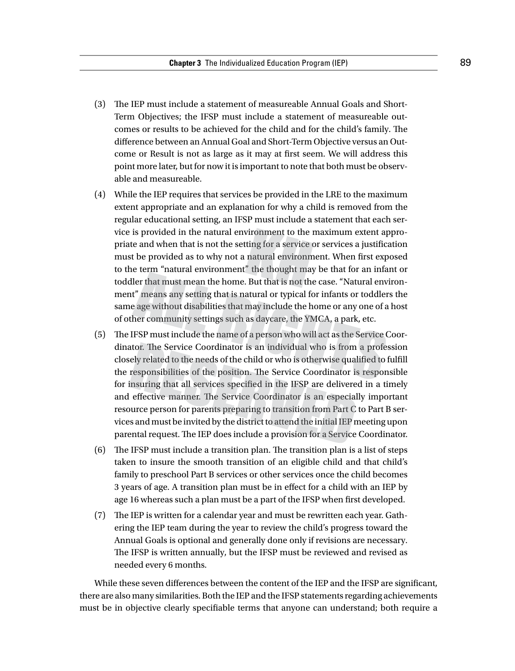- (3) The IEP must include a statement of measureable Annual Goals and Short-Term Objectives; the IFSP must include a statement of measureable outcomes or results to be achieved for the child and for the child's family. The difference between an Annual Goal and Short-Term Objective versus an Outcome or Result is not as large as it may at first seem. We will address this point more later, but for now it is important to note that both must be observable and measureable.
- (4) While the IEP requires that services be provided in the LRE to the maximum extent appropriate and an explanation for why a child is removed from the regular educational setting, an IFSP must include a statement that each service is provided in the natural environment to the maximum extent appropriate and when that is not the setting for a service or services a justification must be provided as to why not a natural environment. When first exposed to the term "natural environment" the thought may be that for an infant or toddler that must mean the home. But that is not the case. "Natural environment" means any setting that is natural or typical for infants or toddlers the same age without disabilities that may include the home or any one of a host of other community settings such as daycare, the YMCA, a park, etc.
- (5) The IFSP must include the name of a person who will act as the Service Coordinator. The Service Coordinator is an individual who is from a profession closely related to the needs of the child or who is otherwise qualified to fulfill the responsibilities of the position. The Service Coordinator is responsible for insuring that all services specified in the IFSP are delivered in a timely and effective manner. The Service Coordinator is an especially important resource person for parents preparing to transition from Part C to Part B services and must be invited by the district to attend the initial IEP meeting upon parental request. The IEP does include a provision for a Service Coordinator.
- (6) The IFSP must include a transition plan. The transition plan is a list of steps taken to insure the smooth transition of an eligible child and that child's family to preschool Part B services or other services once the child becomes 3 years of age. A transition plan must be in effect for a child with an IEP by age 16 whereas such a plan must be a part of the IFSP when first developed.
- (7) The IEP is written for a calendar year and must be rewritten each year. Gathering the IEP team during the year to review the child's progress toward the Annual Goals is optional and generally done only if revisions are necessary. The IFSP is written annually, but the IFSP must be reviewed and revised as needed every 6 months.

While these seven differences between the content of the IEP and the IFSP are significant, there are also many similarities. Both the IEP and the IFSP statements regarding achievements must be in objective clearly specifiable terms that anyone can understand; both require a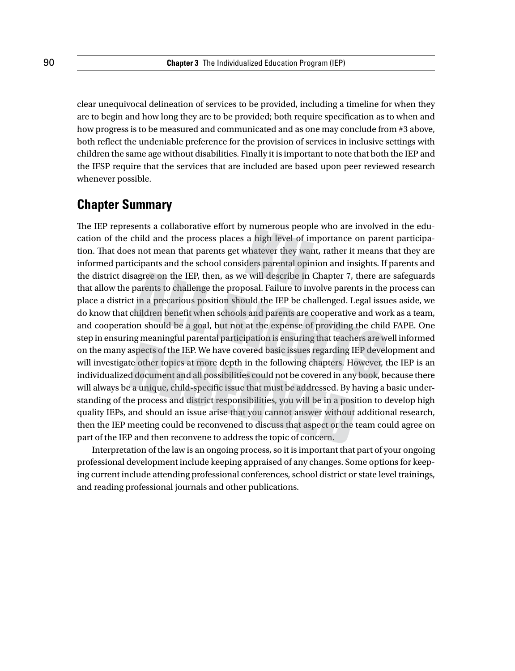clear unequivocal delineation of services to be provided, including a timeline for when they are to begin and how long they are to be provided; both require specification as to when and how progress is to be measured and communicated and as one may conclude from #3 above, both reflect the undeniable preference for the provision of services in inclusive settings with children the same age without disabilities. Finally it is important to note that both the IEP and the IFSP require that the services that are included are based upon peer reviewed research whenever possible.

# **Chapter Summary**

The IEP represents a collaborative effort by numerous people who are involved in the education of the child and the process places a high level of importance on parent participation. That does not mean that parents get whatever they want, rather it means that they are informed participants and the school considers parental opinion and insights. If parents and the district disagree on the IEP, then, as we will describe in Chapter 7, there are safeguards that allow the parents to challenge the proposal. Failure to involve parents in the process can place a district in a precarious position should the IEP be challenged. Legal issues aside, we do know that children benefit when schools and parents are cooperative and work as a team, and cooperation should be a goal, but not at the expense of providing the child FAPE. One step in ensuring meaningful parental participation is ensuring that teachers are well informed on the many aspects of the IEP. We have covered basic issues regarding IEP development and will investigate other topics at more depth in the following chapters. However, the IEP is an individualized document and all possibilities could not be covered in any book, because there will always be a unique, child-specific issue that must be addressed. By having a basic understanding of the process and district responsibilities, you will be in a position to develop high quality IEPs, and should an issue arise that you cannot answer without additional research, then the IEP meeting could be reconvened to discuss that aspect or the team could agree on part of the IEP and then reconvene to address the topic of concern.

Interpretation of the law is an ongoing process, so it is important that part of your ongoing professional development include keeping appraised of any changes. Some options for keeping current include attending professional conferences, school district or state level trainings, and reading professional journals and other publications.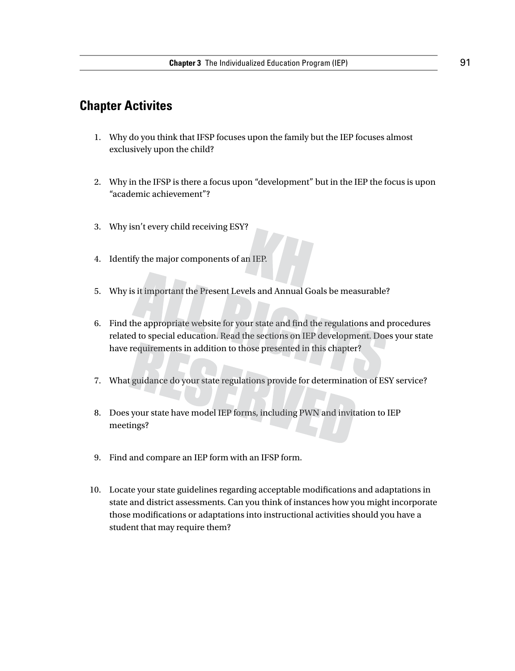# **Chapter Activites**

- 1. Why do you think that IFSP focuses upon the family but the IEP focuses almost exclusively upon the child?
- 2. Why in the IFSP is there a focus upon "development" but in the IEP the focus is upon "academic achievement"?
- 3. Why isn't every child receiving ESY?
- 4. Identify the major components of an IEP.
- 5. Why is it important the Present Levels and Annual Goals be measurable?
- 6. Find the appropriate website for your state and find the regulations and procedures related to special education. Read the sections on IEP development. Does your state have requirements in addition to those presented in this chapter?
- 7. What guidance do your state regulations provide for determination of ESY service?
- 8. Does your state have model IEP forms, including PWN and invitation to IEP meetings?
- 9. Find and compare an IEP form with an IFSP form.
- 10. Locate your state guidelines regarding acceptable modifications and adaptations in state and district assessments. Can you think of instances how you might incorporate those modifications or adaptations into instructional activities should you have a student that may require them?